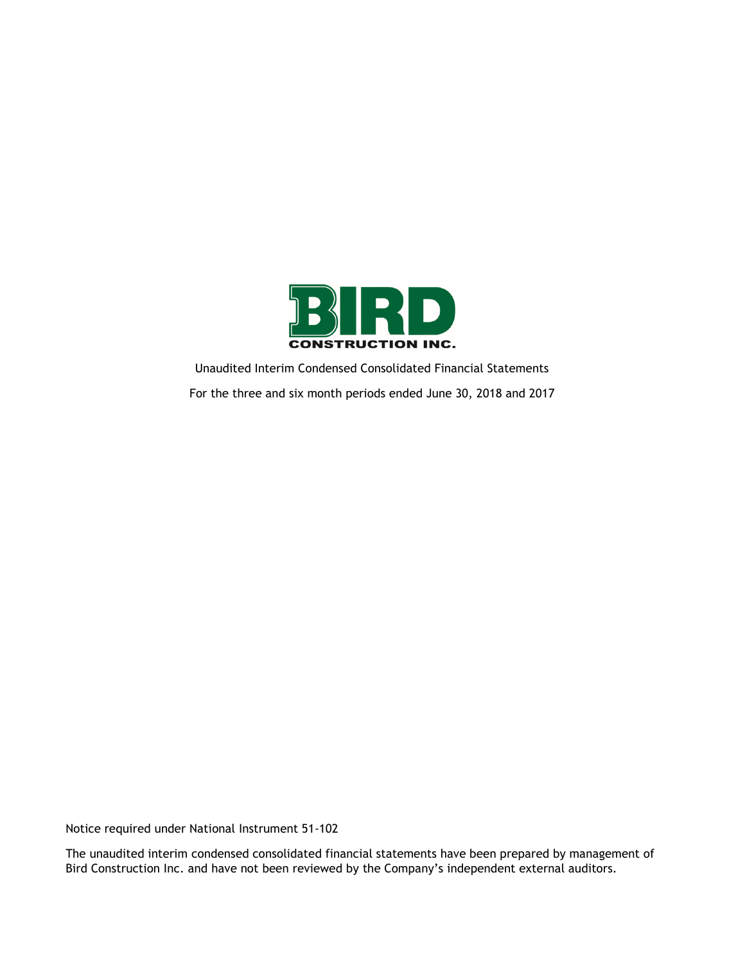

Unaudited Interim Condensed Consolidated Financial Statements For the three and six month periods ended June 30, 2018 and 2017

Notice required under National Instrument 51-102

The unaudited interim condensed consolidated financial statements have been prepared by management of Bird Construction Inc. and have not been reviewed by the Company's independent external auditors.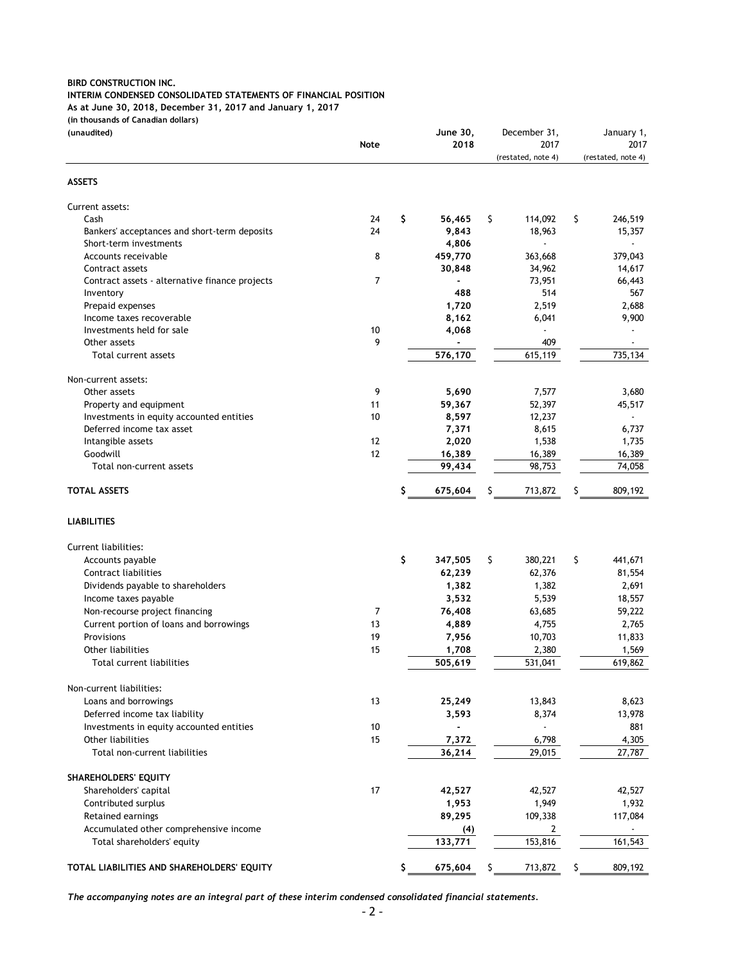#### **INTERIM CONDENSED CONSOLIDATED STATEMENTS OF FINANCIAL POSITION**

**As at June 30, 2018, December 31, 2017 and January 1, 2017**

**(in thousands of Canadian dollars)**

| (unaudited)                                    |      | <b>June 30,</b> | December 31,       |     | January 1,         |
|------------------------------------------------|------|-----------------|--------------------|-----|--------------------|
|                                                | Note | 2018            | 2017               |     | 2017               |
|                                                |      |                 | (restated, note 4) |     | (restated, note 4) |
| <b>ASSETS</b>                                  |      |                 |                    |     |                    |
| Current assets:                                |      |                 |                    |     |                    |
| Cash                                           | 24   | \$<br>56,465    | \$<br>114,092      | \$  | 246,519            |
| Bankers' acceptances and short-term deposits   | 24   | 9,843           | 18,963             |     | 15,357             |
| Short-term investments                         |      | 4,806           |                    |     |                    |
| Accounts receivable                            | 8    | 459,770         | 363,668            |     | 379,043            |
| Contract assets                                |      | 30,848          | 34,962             |     | 14,617             |
| Contract assets - alternative finance projects | 7    |                 | 73,951             |     | 66,443             |
| Inventory                                      |      | 488             | 514                |     | 567                |
| Prepaid expenses                               |      | 1,720           | 2,519              |     | 2,688              |
| Income taxes recoverable                       |      | 8,162           | 6,041              |     | 9,900              |
| Investments held for sale                      | 10   | 4,068           | $\blacksquare$     |     |                    |
| Other assets                                   | 9    |                 | 409                |     |                    |
| Total current assets                           |      | 576,170         | 615,119            |     | 735,134            |
| Non-current assets:                            |      |                 |                    |     |                    |
| Other assets                                   | 9    | 5,690           | 7,577              |     | 3,680              |
| Property and equipment                         | 11   | 59,367          | 52,397             |     | 45,517             |
| Investments in equity accounted entities       | 10   | 8,597           | 12,237             |     |                    |
| Deferred income tax asset                      |      | 7,371           | 8,615              |     | 6,737              |
| Intangible assets                              | 12   | 2,020           | 1,538              |     | 1,735              |
| Goodwill                                       | 12   | 16,389          | 16,389             |     | 16,389             |
| Total non-current assets                       |      | 99,434          | 98,753             |     | 74,058             |
| <b>TOTAL ASSETS</b>                            |      | 675,604         | 713,872<br>\$      | \$  | 809,192            |
| <b>LIABILITIES</b>                             |      |                 |                    |     |                    |
| Current liabilities:                           |      |                 |                    |     |                    |
| Accounts payable                               |      | \$<br>347,505   | 380,221<br>\$      | \$  | 441,671            |
| Contract liabilities                           |      | 62,239          | 62,376             |     | 81,554             |
| Dividends payable to shareholders              |      | 1,382           | 1,382              |     | 2,691              |
| Income taxes payable                           |      | 3,532           | 5,539              |     | 18,557             |
| Non-recourse project financing                 | 7    | 76,408          | 63,685             |     | 59,222             |
| Current portion of loans and borrowings        | 13   | 4,889           | 4,755              |     | 2,765              |
| Provisions                                     | 19   | 7,956           | 10,703             |     | 11,833             |
| Other liabilities                              | 15   | 1,708           | 2,380              |     | 1,569              |
| Total current liabilities                      |      | 505,619         | 531,041            |     | 619,862            |
| Non-current liabilities:                       |      |                 |                    |     |                    |
| Loans and borrowings                           | 13   | 25,249          | 13,843             |     | 8,623              |
| Deferred income tax liability                  |      | 3,593           | 8,374              |     | 13,978             |
| Investments in equity accounted entities       | 10   |                 |                    |     | 881                |
| Other liabilities                              | 15   | 7,372           | 6,798              |     | 4,305              |
| Total non-current liabilities                  |      | 36,214          | 29,015             |     | 27,787             |
| SHAREHOLDERS' EQUITY                           |      |                 |                    |     |                    |
| Shareholders' capital                          | 17   | 42,527          | 42,527             |     | 42,527             |
| Contributed surplus                            |      | 1,953           | 1,949              |     | 1,932              |
| Retained earnings                              |      | 89,295          | 109,338            |     | 117,084            |
| Accumulated other comprehensive income         |      |                 |                    |     |                    |
| Total shareholders' equity                     |      | (4)<br>133,771  | 2<br>153,816       |     | 161,543            |
|                                                |      |                 |                    |     |                    |
| TOTAL LIABILITIES AND SHAREHOLDERS' EQUITY     |      | 675,604         | 713,872<br>\$.     | \$. | 809,192            |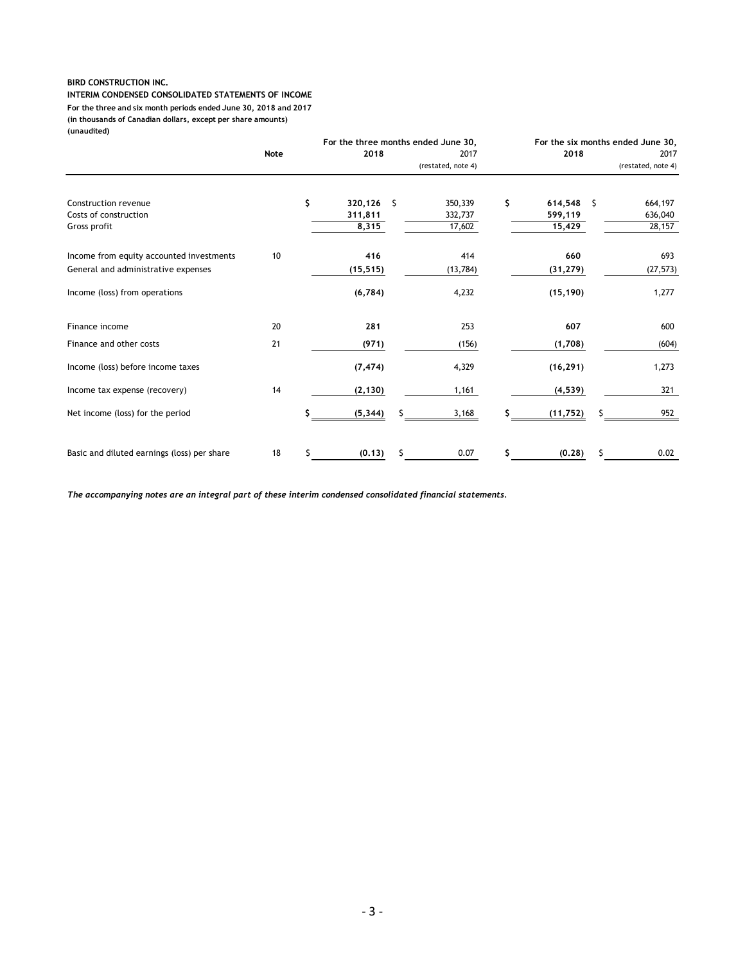**INTERIM CONDENSED CONSOLIDATED STATEMENTS OF INCOME (in thousands of Canadian dollars, except per share amounts) (unaudited) For the three and six month periods ended June 30, 2018 and 2017**

|                                             |      |    |            | For the three months ended June 30, |                    |    | For the six months ended June 30, |   |                    |  |  |  |
|---------------------------------------------|------|----|------------|-------------------------------------|--------------------|----|-----------------------------------|---|--------------------|--|--|--|
|                                             | Note |    | 2018       |                                     | 2017               |    | 2018                              |   | 2017               |  |  |  |
|                                             |      |    |            |                                     | (restated, note 4) |    |                                   |   | (restated, note 4) |  |  |  |
| Construction revenue                        |      | \$ | 320,126 \$ |                                     | 350,339            | \$ | 614,548                           | S | 664,197            |  |  |  |
| Costs of construction                       |      |    | 311,811    |                                     | 332,737            |    | 599,119                           |   | 636,040            |  |  |  |
| Gross profit                                |      |    | 8,315      |                                     | 17,602             |    | 15,429                            |   | 28,157             |  |  |  |
| Income from equity accounted investments    | 10   |    | 416        |                                     | 414                |    | 660                               |   | 693                |  |  |  |
| General and administrative expenses         |      |    | (15, 515)  |                                     | (13, 784)          |    | (31, 279)                         |   | (27, 573)          |  |  |  |
| Income (loss) from operations               |      |    | (6, 784)   |                                     | 4,232              |    | (15, 190)                         |   | 1,277              |  |  |  |
| Finance income                              | 20   |    | 281        |                                     | 253                |    | 607                               |   | 600                |  |  |  |
| Finance and other costs                     | 21   |    | (971)      |                                     | (156)              |    | (1,708)                           |   | (604)              |  |  |  |
| Income (loss) before income taxes           |      |    | (7, 474)   |                                     | 4,329              |    | (16, 291)                         |   | 1,273              |  |  |  |
| Income tax expense (recovery)               | 14   |    | (2, 130)   |                                     | 1,161              |    | (4, 539)                          |   | 321                |  |  |  |
| Net income (loss) for the period            |      | \$ | (5, 344)   |                                     | 3,168              |    | (11, 752)                         |   | 952                |  |  |  |
| Basic and diluted earnings (loss) per share | 18   | Ś. | (0.13)     |                                     | 0.07               | \$ | (0.28)                            | Ŝ | 0.02               |  |  |  |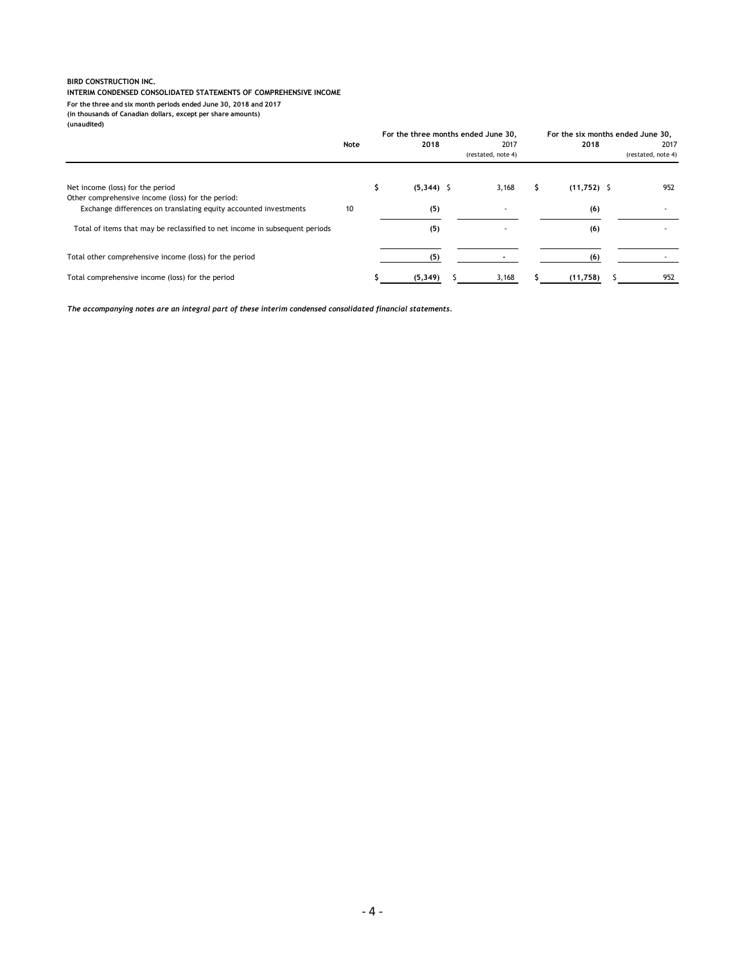#### **INTERIM CONDENSED CONSOLIDATED STATEMENTS OF COMPREHENSIVE INCOME**

**For the three and six month periods ended June 30, 2018 and 2017**

**(in thousands of Canadian dollars, except per share amounts)**

**(unaudited)**

|                                                                                                                       |      |              | For the three months ended June 30, |               | For the six months ended June 30, |                    |  |
|-----------------------------------------------------------------------------------------------------------------------|------|--------------|-------------------------------------|---------------|-----------------------------------|--------------------|--|
|                                                                                                                       | Note | 2018         | 2017                                | 2018          |                                   | 2017               |  |
|                                                                                                                       |      |              | (restated, note 4)                  |               |                                   | (restated, note 4) |  |
| Net income (loss) for the period                                                                                      |      | $(5,344)$ \$ | 3,168                               | $(11,752)$ \$ |                                   | 952                |  |
| Other comprehensive income (loss) for the period:<br>Exchange differences on translating equity accounted investments | 10   | (5)          | $\overline{\phantom{a}}$            | (6)           |                                   |                    |  |
| Total of items that may be reclassified to net income in subsequent periods                                           |      | (5)          |                                     | (6)           |                                   |                    |  |
| Total other comprehensive income (loss) for the period                                                                |      | (5)          |                                     | (6)           |                                   |                    |  |
| Total comprehensive income (loss) for the period                                                                      |      | (5, 349)     | 3,168                               | (11,758)      |                                   | 952                |  |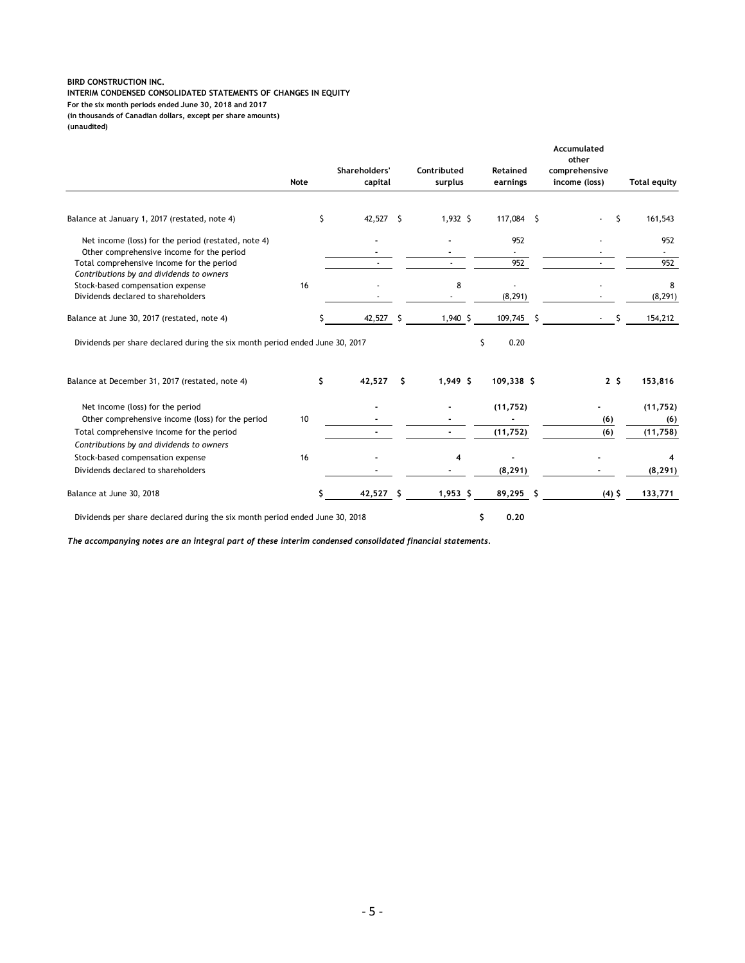#### **BIRD CONSTRUCTION INC. INTERIM CONDENSED CONSOLIDATED STATEMENTS OF CHANGES IN EQUITY (in thousands of Canadian dollars, except per share amounts) For the six month periods ended June 30, 2018 and 2017**

**(unaudited)**

|                                                                                       | Note |     | Shareholders'<br>capital |    | Contributed<br>surplus | Retained<br>earnings |   | Accumulated<br>other<br>comprehensive<br>income (loss) |   | <b>Total equity</b> |
|---------------------------------------------------------------------------------------|------|-----|--------------------------|----|------------------------|----------------------|---|--------------------------------------------------------|---|---------------------|
|                                                                                       |      |     |                          |    |                        |                      |   |                                                        |   |                     |
| Balance at January 1, 2017 (restated, note 4)                                         |      | \$  | 42,527 \$                |    | $1,932$ \$             | 117,084 \$           |   |                                                        | Ś | 161,543             |
| Net income (loss) for the period (restated, note 4)                                   |      |     |                          |    |                        | 952                  |   |                                                        |   | 952                 |
| Other comprehensive income for the period                                             |      |     |                          |    |                        |                      |   |                                                        |   |                     |
| Total comprehensive income for the period<br>Contributions by and dividends to owners |      |     |                          |    |                        | 952                  |   |                                                        |   | 952                 |
| Stock-based compensation expense                                                      | 16   |     |                          |    | 8                      |                      |   |                                                        |   | 8                   |
| Dividends declared to shareholders                                                    |      |     |                          |    |                        | (8, 291)             |   |                                                        |   | (8, 291)            |
| Balance at June 30, 2017 (restated, note 4)                                           |      |     | 42,527                   | S  | $1,940$ \$             | 109,745              | S |                                                        |   | 154,212             |
| Dividends per share declared during the six month period ended June 30, 2017          |      |     |                          |    |                        | Ś.<br>0.20           |   |                                                        |   |                     |
| Balance at December 31, 2017 (restated, note 4)                                       |      | \$. | 42,527                   | Ŝ. | $1,949$ \$             | 109,338 \$           |   | 2 <sup>5</sup>                                         |   | 153,816             |
| Net income (loss) for the period                                                      |      |     |                          |    |                        | (11, 752)            |   |                                                        |   | (11, 752)           |
| Other comprehensive income (loss) for the period                                      | 10   |     |                          |    |                        |                      |   | (6)                                                    |   | (6)                 |
| Total comprehensive income for the period                                             |      |     |                          |    |                        | (11, 752)            |   | (6)                                                    |   | (11,758)            |
| Contributions by and dividends to owners                                              |      |     |                          |    |                        |                      |   |                                                        |   |                     |
| Stock-based compensation expense                                                      | 16   |     |                          |    | 4                      |                      |   |                                                        |   |                     |
| Dividends declared to shareholders                                                    |      |     |                          |    |                        | (8, 291)             |   |                                                        |   | (8, 291)            |
| Balance at June 30, 2018                                                              |      |     | 42,527                   | Ŝ  | $1,953$ \$             | 89,295               | Ŝ | $(4)$ \$                                               |   | 133,771             |
| Dividends per share declared during the six month period ended June 30, 2018          |      |     |                          |    |                        | 0.20<br>\$           |   |                                                        |   |                     |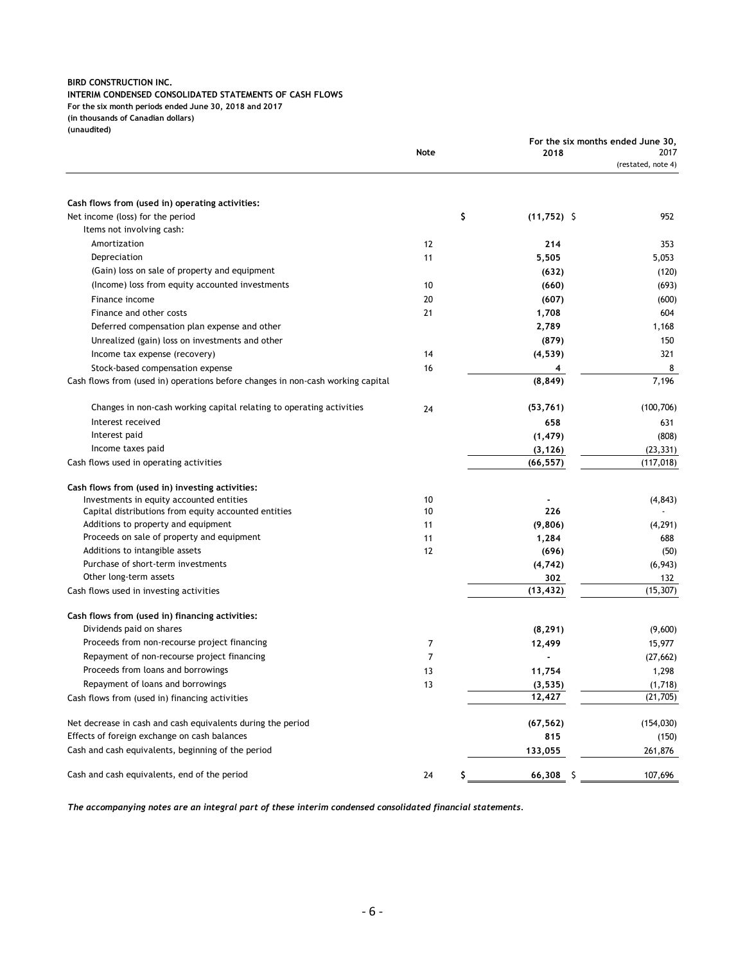#### **INTERIM CONDENSED CONSOLIDATED STATEMENTS OF CASH FLOWS**

**For the six month periods ended June 30, 2018 and 2017**

**(in thousands of Canadian dollars)**

**(unaudited)**

|                                                                                 |      |    |               | For the six months ended June 30, |                            |  |
|---------------------------------------------------------------------------------|------|----|---------------|-----------------------------------|----------------------------|--|
|                                                                                 | Note |    | 2018          |                                   | 2017<br>(restated, note 4) |  |
|                                                                                 |      |    |               |                                   |                            |  |
| Cash flows from (used in) operating activities:                                 |      |    |               |                                   |                            |  |
| Net income (loss) for the period                                                |      | \$ | $(11,752)$ \$ |                                   | 952                        |  |
| Items not involving cash:                                                       |      |    |               |                                   |                            |  |
| Amortization                                                                    | 12   |    | 214           |                                   | 353                        |  |
| Depreciation                                                                    | 11   |    | 5,505         |                                   | 5,053                      |  |
| (Gain) loss on sale of property and equipment                                   |      |    | (632)         |                                   | (120)                      |  |
| (Income) loss from equity accounted investments                                 | 10   |    | (660)         |                                   | (693)                      |  |
| Finance income                                                                  | 20   |    | (607)         |                                   | (600)                      |  |
| Finance and other costs                                                         | 21   |    | 1,708         |                                   | 604                        |  |
| Deferred compensation plan expense and other                                    |      |    | 2,789         |                                   | 1,168                      |  |
| Unrealized (gain) loss on investments and other                                 |      |    | (879)         |                                   | 150                        |  |
| Income tax expense (recovery)                                                   | 14   |    | (4, 539)      |                                   | 321                        |  |
| Stock-based compensation expense                                                | 16   |    | 4             |                                   | 8                          |  |
| Cash flows from (used in) operations before changes in non-cash working capital |      |    | (8, 849)      |                                   | 7,196                      |  |
| Changes in non-cash working capital relating to operating activities            | 24   |    | (53, 761)     |                                   | (100, 706)                 |  |
| Interest received                                                               |      |    | 658           |                                   | 631                        |  |
| Interest paid                                                                   |      |    | (1, 479)      |                                   | (808)                      |  |
| Income taxes paid                                                               |      |    | (3, 126)      |                                   | (23, 331)                  |  |
| Cash flows used in operating activities                                         |      |    | (66, 557)     |                                   | (117, 018)                 |  |
| Cash flows from (used in) investing activities:                                 |      |    |               |                                   |                            |  |
| Investments in equity accounted entities                                        | 10   |    |               |                                   | (4, 843)                   |  |
| Capital distributions from equity accounted entities                            | 10   |    | 226           |                                   |                            |  |
| Additions to property and equipment                                             | 11   |    | (9,806)       |                                   | (4, 291)                   |  |
| Proceeds on sale of property and equipment                                      | 11   |    | 1,284         |                                   | 688                        |  |
| Additions to intangible assets                                                  | 12   |    | (696)         |                                   | (50)                       |  |
| Purchase of short-term investments                                              |      |    | (4, 742)      |                                   | (6, 943)                   |  |
| Other long-term assets                                                          |      |    | 302           |                                   | 132                        |  |
| Cash flows used in investing activities                                         |      |    | (13, 432)     |                                   | (15, 307)                  |  |
| Cash flows from (used in) financing activities:                                 |      |    |               |                                   |                            |  |
| Dividends paid on shares                                                        |      |    | (8, 291)      |                                   | (9,600)                    |  |
| Proceeds from non-recourse project financing                                    | 7    |    | 12,499        |                                   | 15,977                     |  |
| Repayment of non-recourse project financing                                     | 7    |    |               |                                   | (27, 662)                  |  |
| Proceeds from loans and borrowings                                              | 13   |    | 11,754        |                                   | 1,298                      |  |
| Repayment of loans and borrowings                                               | 13   |    | (3, 535)      |                                   | (1,718)                    |  |
| Cash flows from (used in) financing activities                                  |      |    | 12,427        |                                   | (21, 705)                  |  |
| Net decrease in cash and cash equivalents during the period                     |      |    | (67, 562)     |                                   | (154, 030)                 |  |
| Effects of foreign exchange on cash balances                                    |      |    | 815           |                                   | (150)                      |  |
| Cash and cash equivalents, beginning of the period                              |      |    | 133,055       |                                   | 261,876                    |  |
| Cash and cash equivalents, end of the period                                    | 24   | S  | $66,308$ \$   |                                   | 107,696                    |  |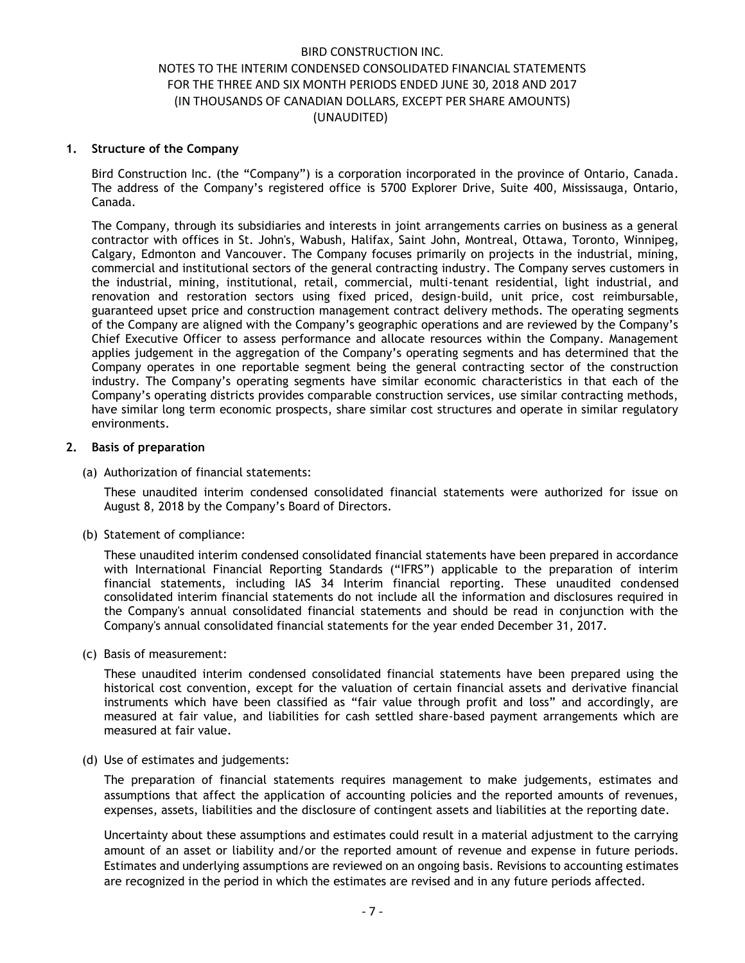#### **1. Structure of the Company**

Bird Construction Inc. (the "Company") is a corporation incorporated in the province of Ontario, Canada. The address of the Company's registered office is 5700 Explorer Drive, Suite 400, Mississauga, Ontario, Canada.

The Company, through its subsidiaries and interests in joint arrangements carries on business as a general contractor with offices in St. John's, Wabush, Halifax, Saint John, Montreal, Ottawa, Toronto, Winnipeg, Calgary, Edmonton and Vancouver. The Company focuses primarily on projects in the industrial, mining, commercial and institutional sectors of the general contracting industry. The Company serves customers in the industrial, mining, institutional, retail, commercial, multi-tenant residential, light industrial, and renovation and restoration sectors using fixed priced, design-build, unit price, cost reimbursable, guaranteed upset price and construction management contract delivery methods. The operating segments of the Company are aligned with the Company's geographic operations and are reviewed by the Company's Chief Executive Officer to assess performance and allocate resources within the Company. Management applies judgement in the aggregation of the Company's operating segments and has determined that the Company operates in one reportable segment being the general contracting sector of the construction industry. The Company's operating segments have similar economic characteristics in that each of the Company's operating districts provides comparable construction services, use similar contracting methods, have similar long term economic prospects, share similar cost structures and operate in similar regulatory environments.

### **2. Basis of preparation**

(a) Authorization of financial statements:

These unaudited interim condensed consolidated financial statements were authorized for issue on August 8, 2018 by the Company's Board of Directors.

(b) Statement of compliance:

These unaudited interim condensed consolidated financial statements have been prepared in accordance with International Financial Reporting Standards ("IFRS") applicable to the preparation of interim financial statements, including IAS 34 Interim financial reporting. These unaudited condensed consolidated interim financial statements do not include all the information and disclosures required in the Company's annual consolidated financial statements and should be read in conjunction with the Company's annual consolidated financial statements for the year ended December 31, 2017.

(c) Basis of measurement:

These unaudited interim condensed consolidated financial statements have been prepared using the historical cost convention, except for the valuation of certain financial assets and derivative financial instruments which have been classified as "fair value through profit and loss" and accordingly, are measured at fair value, and liabilities for cash settled share-based payment arrangements which are measured at fair value.

(d) Use of estimates and judgements:

The preparation of financial statements requires management to make judgements, estimates and assumptions that affect the application of accounting policies and the reported amounts of revenues, expenses, assets, liabilities and the disclosure of contingent assets and liabilities at the reporting date.

Uncertainty about these assumptions and estimates could result in a material adjustment to the carrying amount of an asset or liability and/or the reported amount of revenue and expense in future periods. Estimates and underlying assumptions are reviewed on an ongoing basis. Revisions to accounting estimates are recognized in the period in which the estimates are revised and in any future periods affected.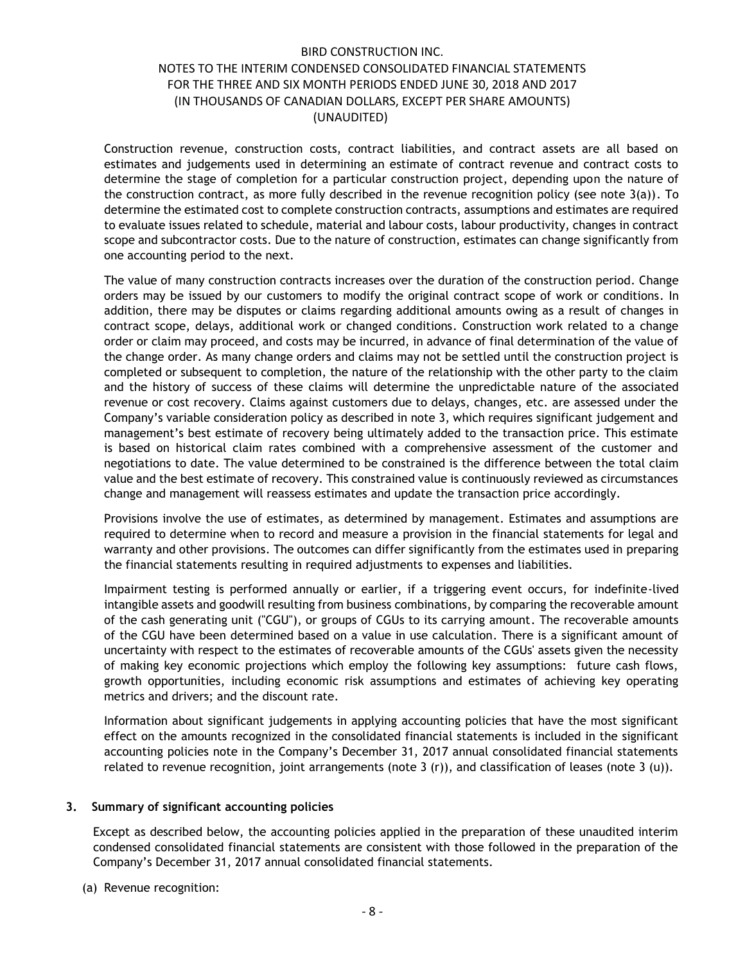Construction revenue, construction costs, contract liabilities, and contract assets are all based on estimates and judgements used in determining an estimate of contract revenue and contract costs to determine the stage of completion for a particular construction project, depending upon the nature of the construction contract, as more fully described in the revenue recognition policy (see note  $3(a)$ ). To determine the estimated cost to complete construction contracts, assumptions and estimates are required to evaluate issues related to schedule, material and labour costs, labour productivity, changes in contract scope and subcontractor costs. Due to the nature of construction, estimates can change significantly from one accounting period to the next.

The value of many construction contracts increases over the duration of the construction period. Change orders may be issued by our customers to modify the original contract scope of work or conditions. In addition, there may be disputes or claims regarding additional amounts owing as a result of changes in contract scope, delays, additional work or changed conditions. Construction work related to a change order or claim may proceed, and costs may be incurred, in advance of final determination of the value of the change order. As many change orders and claims may not be settled until the construction project is completed or subsequent to completion, the nature of the relationship with the other party to the claim and the history of success of these claims will determine the unpredictable nature of the associated revenue or cost recovery. Claims against customers due to delays, changes, etc. are assessed under the Company's variable consideration policy as described in note 3, which requires significant judgement and management's best estimate of recovery being ultimately added to the transaction price. This estimate is based on historical claim rates combined with a comprehensive assessment of the customer and negotiations to date. The value determined to be constrained is the difference between the total claim value and the best estimate of recovery. This constrained value is continuously reviewed as circumstances change and management will reassess estimates and update the transaction price accordingly.

Provisions involve the use of estimates, as determined by management. Estimates and assumptions are required to determine when to record and measure a provision in the financial statements for legal and warranty and other provisions. The outcomes can differ significantly from the estimates used in preparing the financial statements resulting in required adjustments to expenses and liabilities.

Impairment testing is performed annually or earlier, if a triggering event occurs, for indefinite-lived intangible assets and goodwill resulting from business combinations, by comparing the recoverable amount of the cash generating unit ("CGU"), or groups of CGUs to its carrying amount. The recoverable amounts of the CGU have been determined based on a value in use calculation. There is a significant amount of uncertainty with respect to the estimates of recoverable amounts of the CGUs' assets given the necessity of making key economic projections which employ the following key assumptions: future cash flows, growth opportunities, including economic risk assumptions and estimates of achieving key operating metrics and drivers; and the discount rate.

Information about significant judgements in applying accounting policies that have the most significant effect on the amounts recognized in the consolidated financial statements is included in the significant accounting policies note in the Company's December 31, 2017 annual consolidated financial statements related to revenue recognition, joint arrangements (note 3  $(r)$ ), and classification of leases (note 3  $(u)$ ).

#### **3. Summary of significant accounting policies**

Except as described below, the accounting policies applied in the preparation of these unaudited interim condensed consolidated financial statements are consistent with those followed in the preparation of the Company's December 31, 2017 annual consolidated financial statements.

(a) Revenue recognition: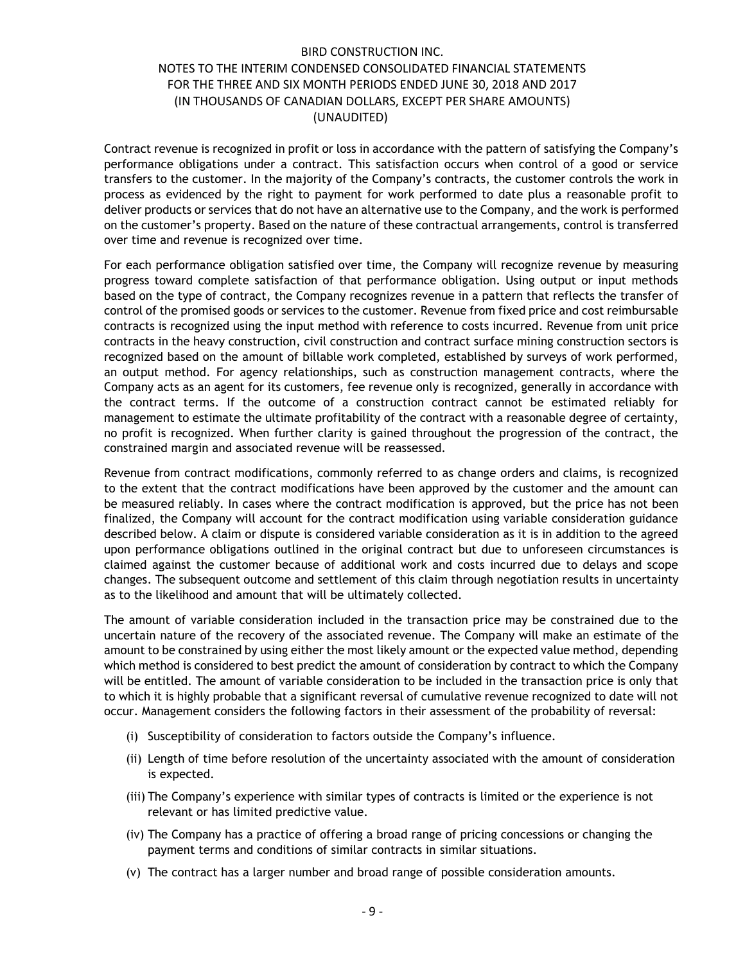Contract revenue is recognized in profit or loss in accordance with the pattern of satisfying the Company's performance obligations under a contract. This satisfaction occurs when control of a good or service transfers to the customer. In the majority of the Company's contracts, the customer controls the work in process as evidenced by the right to payment for work performed to date plus a reasonable profit to deliver products or services that do not have an alternative use to the Company, and the work is performed on the customer's property. Based on the nature of these contractual arrangements, control is transferred over time and revenue is recognized over time.

For each performance obligation satisfied over time, the Company will recognize revenue by measuring progress toward complete satisfaction of that performance obligation. Using output or input methods based on the type of contract, the Company recognizes revenue in a pattern that reflects the transfer of control of the promised goods or services to the customer. Revenue from fixed price and cost reimbursable contracts is recognized using the input method with reference to costs incurred. Revenue from unit price contracts in the heavy construction, civil construction and contract surface mining construction sectors is recognized based on the amount of billable work completed, established by surveys of work performed, an output method. For agency relationships, such as construction management contracts, where the Company acts as an agent for its customers, fee revenue only is recognized, generally in accordance with the contract terms. If the outcome of a construction contract cannot be estimated reliably for management to estimate the ultimate profitability of the contract with a reasonable degree of certainty, no profit is recognized. When further clarity is gained throughout the progression of the contract, the constrained margin and associated revenue will be reassessed.

Revenue from contract modifications, commonly referred to as change orders and claims, is recognized to the extent that the contract modifications have been approved by the customer and the amount can be measured reliably. In cases where the contract modification is approved, but the price has not been finalized, the Company will account for the contract modification using variable consideration guidance described below. A claim or dispute is considered variable consideration as it is in addition to the agreed upon performance obligations outlined in the original contract but due to unforeseen circumstances is claimed against the customer because of additional work and costs incurred due to delays and scope changes. The subsequent outcome and settlement of this claim through negotiation results in uncertainty as to the likelihood and amount that will be ultimately collected.

The amount of variable consideration included in the transaction price may be constrained due to the uncertain nature of the recovery of the associated revenue. The Company will make an estimate of the amount to be constrained by using either the most likely amount or the expected value method, depending which method is considered to best predict the amount of consideration by contract to which the Company will be entitled. The amount of variable consideration to be included in the transaction price is only that to which it is highly probable that a significant reversal of cumulative revenue recognized to date will not occur. Management considers the following factors in their assessment of the probability of reversal:

- (i) Susceptibility of consideration to factors outside the Company's influence.
- (ii) Length of time before resolution of the uncertainty associated with the amount of consideration is expected.
- (iii) The Company's experience with similar types of contracts is limited or the experience is not relevant or has limited predictive value.
- (iv) The Company has a practice of offering a broad range of pricing concessions or changing the payment terms and conditions of similar contracts in similar situations.
- (v) The contract has a larger number and broad range of possible consideration amounts.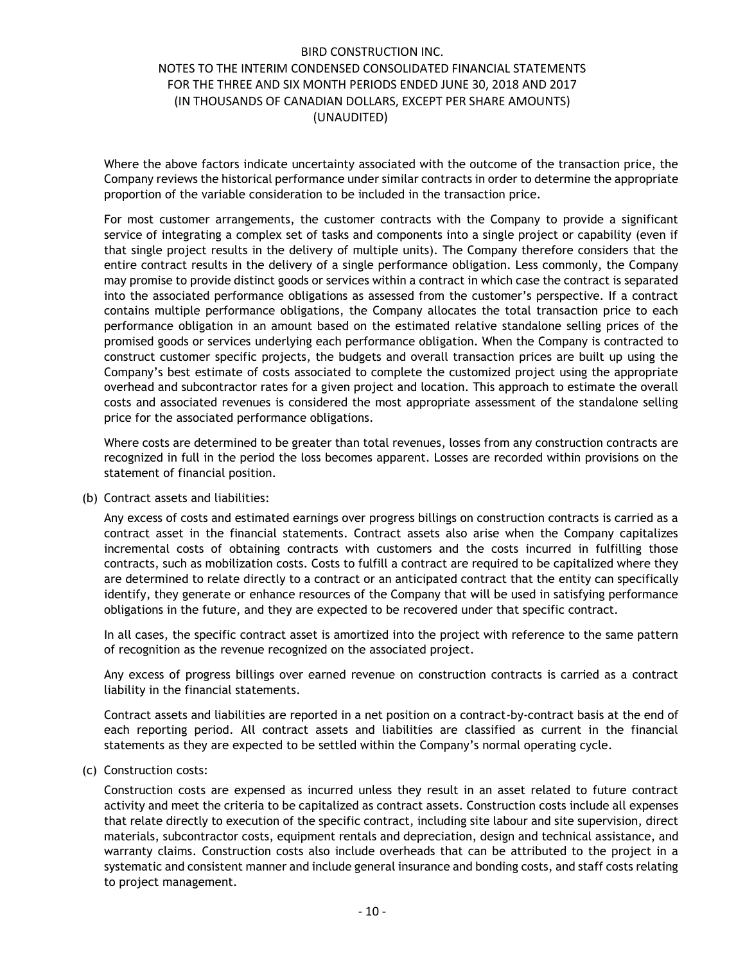Where the above factors indicate uncertainty associated with the outcome of the transaction price, the Company reviews the historical performance under similar contracts in order to determine the appropriate proportion of the variable consideration to be included in the transaction price.

For most customer arrangements, the customer contracts with the Company to provide a significant service of integrating a complex set of tasks and components into a single project or capability (even if that single project results in the delivery of multiple units). The Company therefore considers that the entire contract results in the delivery of a single performance obligation. Less commonly, the Company may promise to provide distinct goods or services within a contract in which case the contract is separated into the associated performance obligations as assessed from the customer's perspective. If a contract contains multiple performance obligations, the Company allocates the total transaction price to each performance obligation in an amount based on the estimated relative standalone selling prices of the promised goods or services underlying each performance obligation. When the Company is contracted to construct customer specific projects, the budgets and overall transaction prices are built up using the Company's best estimate of costs associated to complete the customized project using the appropriate overhead and subcontractor rates for a given project and location. This approach to estimate the overall costs and associated revenues is considered the most appropriate assessment of the standalone selling price for the associated performance obligations.

Where costs are determined to be greater than total revenues, losses from any construction contracts are recognized in full in the period the loss becomes apparent. Losses are recorded within provisions on the statement of financial position.

(b) Contract assets and liabilities:

Any excess of costs and estimated earnings over progress billings on construction contracts is carried as a contract asset in the financial statements. Contract assets also arise when the Company capitalizes incremental costs of obtaining contracts with customers and the costs incurred in fulfilling those contracts, such as mobilization costs. Costs to fulfill a contract are required to be capitalized where they are determined to relate directly to a contract or an anticipated contract that the entity can specifically identify, they generate or enhance resources of the Company that will be used in satisfying performance obligations in the future, and they are expected to be recovered under that specific contract.

In all cases, the specific contract asset is amortized into the project with reference to the same pattern of recognition as the revenue recognized on the associated project.

Any excess of progress billings over earned revenue on construction contracts is carried as a contract liability in the financial statements.

Contract assets and liabilities are reported in a net position on a contract-by-contract basis at the end of each reporting period. All contract assets and liabilities are classified as current in the financial statements as they are expected to be settled within the Company's normal operating cycle.

(c) Construction costs:

Construction costs are expensed as incurred unless they result in an asset related to future contract activity and meet the criteria to be capitalized as contract assets. Construction costs include all expenses that relate directly to execution of the specific contract, including site labour and site supervision, direct materials, subcontractor costs, equipment rentals and depreciation, design and technical assistance, and warranty claims. Construction costs also include overheads that can be attributed to the project in a systematic and consistent manner and include general insurance and bonding costs, and staff costs relating to project management.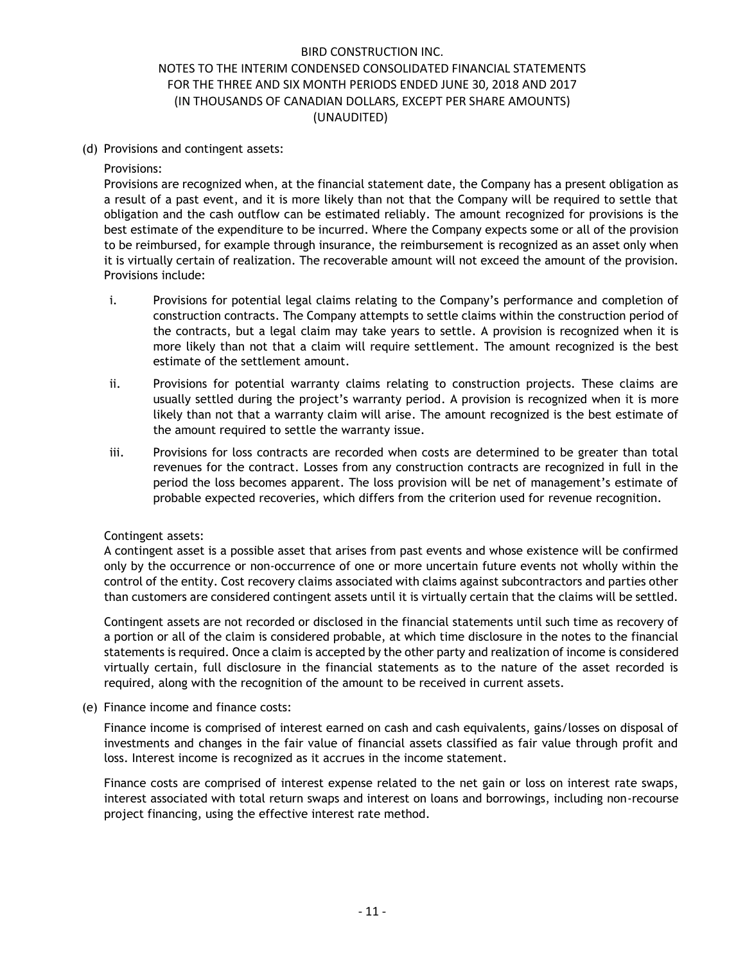(d) Provisions and contingent assets:

Provisions:

Provisions are recognized when, at the financial statement date, the Company has a present obligation as a result of a past event, and it is more likely than not that the Company will be required to settle that obligation and the cash outflow can be estimated reliably. The amount recognized for provisions is the best estimate of the expenditure to be incurred. Where the Company expects some or all of the provision to be reimbursed, for example through insurance, the reimbursement is recognized as an asset only when it is virtually certain of realization. The recoverable amount will not exceed the amount of the provision. Provisions include:

- i. Provisions for potential legal claims relating to the Company's performance and completion of construction contracts. The Company attempts to settle claims within the construction period of the contracts, but a legal claim may take years to settle. A provision is recognized when it is more likely than not that a claim will require settlement. The amount recognized is the best estimate of the settlement amount.
- ii. Provisions for potential warranty claims relating to construction projects. These claims are usually settled during the project's warranty period. A provision is recognized when it is more likely than not that a warranty claim will arise. The amount recognized is the best estimate of the amount required to settle the warranty issue.
- iii. Provisions for loss contracts are recorded when costs are determined to be greater than total revenues for the contract. Losses from any construction contracts are recognized in full in the period the loss becomes apparent. The loss provision will be net of management's estimate of probable expected recoveries, which differs from the criterion used for revenue recognition.

### Contingent assets:

A contingent asset is a possible asset that arises from past events and whose existence will be confirmed only by the occurrence or non-occurrence of one or more uncertain future events not wholly within the control of the entity. Cost recovery claims associated with claims against subcontractors and parties other than customers are considered contingent assets until it is virtually certain that the claims will be settled.

Contingent assets are not recorded or disclosed in the financial statements until such time as recovery of a portion or all of the claim is considered probable, at which time disclosure in the notes to the financial statements is required. Once a claim is accepted by the other party and realization of income is considered virtually certain, full disclosure in the financial statements as to the nature of the asset recorded is required, along with the recognition of the amount to be received in current assets.

(e) Finance income and finance costs:

Finance income is comprised of interest earned on cash and cash equivalents, gains/losses on disposal of investments and changes in the fair value of financial assets classified as fair value through profit and loss. Interest income is recognized as it accrues in the income statement.

Finance costs are comprised of interest expense related to the net gain or loss on interest rate swaps, interest associated with total return swaps and interest on loans and borrowings, including non-recourse project financing, using the effective interest rate method.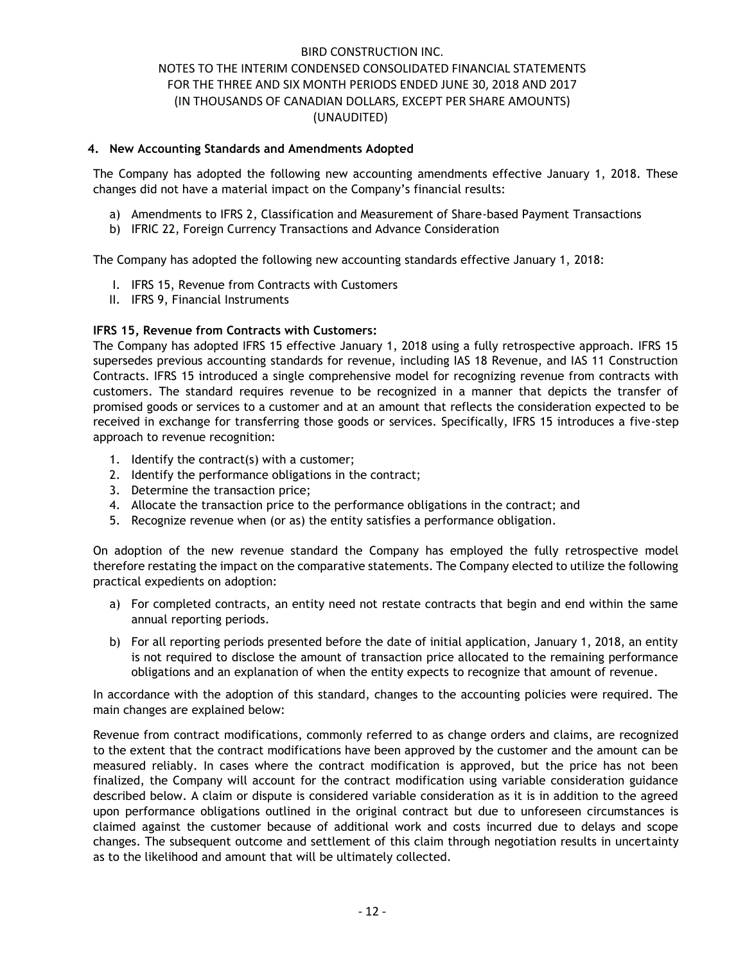### **4. New Accounting Standards and Amendments Adopted**

The Company has adopted the following new accounting amendments effective January 1, 2018. These changes did not have a material impact on the Company's financial results:

- a) Amendments to IFRS 2, Classification and Measurement of Share-based Payment Transactions
- b) IFRIC 22, Foreign Currency Transactions and Advance Consideration

The Company has adopted the following new accounting standards effective January 1, 2018:

- I. IFRS 15, Revenue from Contracts with Customers
- II. IFRS 9, Financial Instruments

### **IFRS 15, Revenue from Contracts with Customers:**

The Company has adopted IFRS 15 effective January 1, 2018 using a fully retrospective approach. IFRS 15 supersedes previous accounting standards for revenue, including IAS 18 Revenue, and IAS 11 Construction Contracts. IFRS 15 introduced a single comprehensive model for recognizing revenue from contracts with customers. The standard requires revenue to be recognized in a manner that depicts the transfer of promised goods or services to a customer and at an amount that reflects the consideration expected to be received in exchange for transferring those goods or services. Specifically, IFRS 15 introduces a five-step approach to revenue recognition:

- 1. Identify the contract(s) with a customer;
- 2. Identify the performance obligations in the contract;
- 3. Determine the transaction price;
- 4. Allocate the transaction price to the performance obligations in the contract; and
- 5. Recognize revenue when (or as) the entity satisfies a performance obligation.

On adoption of the new revenue standard the Company has employed the fully retrospective model therefore restating the impact on the comparative statements. The Company elected to utilize the following practical expedients on adoption:

- a) For completed contracts, an entity need not restate contracts that begin and end within the same annual reporting periods.
- b) For all reporting periods presented before the date of initial application, January 1, 2018, an entity is not required to disclose the amount of transaction price allocated to the remaining performance obligations and an explanation of when the entity expects to recognize that amount of revenue.

In accordance with the adoption of this standard, changes to the accounting policies were required. The main changes are explained below:

Revenue from contract modifications, commonly referred to as change orders and claims, are recognized to the extent that the contract modifications have been approved by the customer and the amount can be measured reliably. In cases where the contract modification is approved, but the price has not been finalized, the Company will account for the contract modification using variable consideration guidance described below. A claim or dispute is considered variable consideration as it is in addition to the agreed upon performance obligations outlined in the original contract but due to unforeseen circumstances is claimed against the customer because of additional work and costs incurred due to delays and scope changes. The subsequent outcome and settlement of this claim through negotiation results in uncertainty as to the likelihood and amount that will be ultimately collected.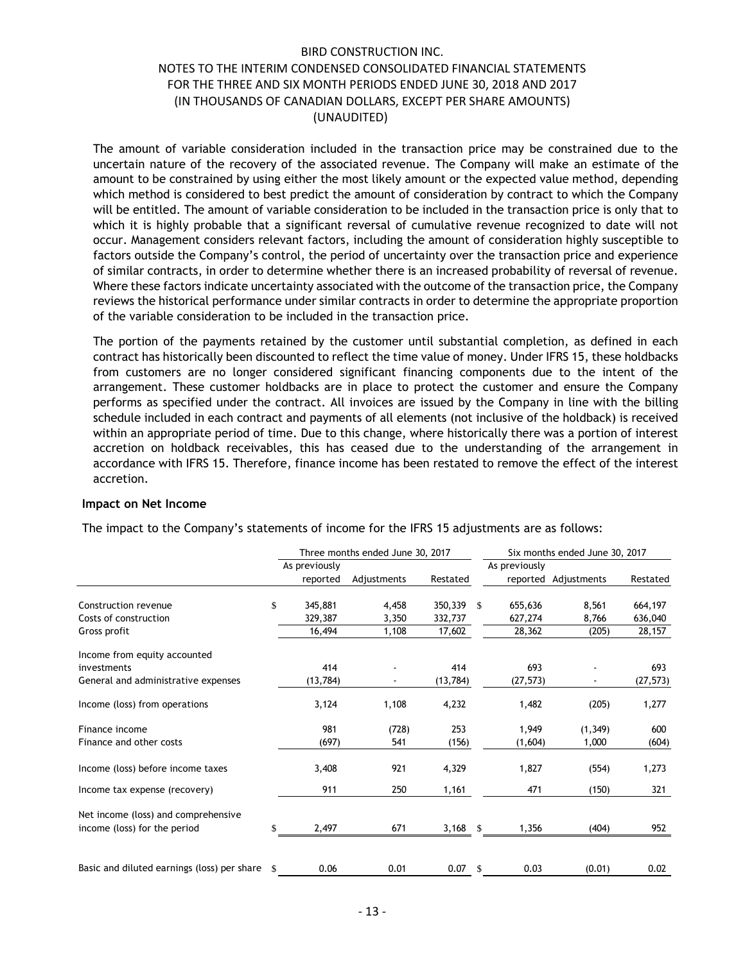The amount of variable consideration included in the transaction price may be constrained due to the uncertain nature of the recovery of the associated revenue. The Company will make an estimate of the amount to be constrained by using either the most likely amount or the expected value method, depending which method is considered to best predict the amount of consideration by contract to which the Company will be entitled. The amount of variable consideration to be included in the transaction price is only that to which it is highly probable that a significant reversal of cumulative revenue recognized to date will not occur. Management considers relevant factors, including the amount of consideration highly susceptible to factors outside the Company's control, the period of uncertainty over the transaction price and experience of similar contracts, in order to determine whether there is an increased probability of reversal of revenue. Where these factors indicate uncertainty associated with the outcome of the transaction price, the Company reviews the historical performance under similar contracts in order to determine the appropriate proportion of the variable consideration to be included in the transaction price.

The portion of the payments retained by the customer until substantial completion, as defined in each contract has historically been discounted to reflect the time value of money. Under IFRS 15, these holdbacks from customers are no longer considered significant financing components due to the intent of the arrangement. These customer holdbacks are in place to protect the customer and ensure the Company performs as specified under the contract. All invoices are issued by the Company in line with the billing schedule included in each contract and payments of all elements (not inclusive of the holdback) is received within an appropriate period of time. Due to this change, where historically there was a portion of interest accretion on holdback receivables, this has ceased due to the understanding of the arrangement in accordance with IFRS 15. Therefore, finance income has been restated to remove the effect of the interest accretion.

#### **Impact on Net Income**

|                                             |               | Three months ended June 30, 2017 |            |               |               | Six months ended June 30, 2017 |           |
|---------------------------------------------|---------------|----------------------------------|------------|---------------|---------------|--------------------------------|-----------|
|                                             | As previously |                                  |            |               | As previously |                                |           |
|                                             | reported      | Adjustments                      | Restated   |               |               | reported Adjustments           | Restated  |
| Construction revenue                        | \$<br>345,881 | 4,458                            | 350,339    | <sup>\$</sup> | 655,636       | 8,561                          | 664,197   |
| Costs of construction                       | 329,387       | 3,350                            | 332,737    |               | 627,274       | 8,766                          | 636,040   |
| Gross profit                                | 16,494        | 1,108                            | 17,602     |               | 28,362        | (205)                          | 28,157    |
| Income from equity accounted                |               |                                  |            |               |               |                                |           |
| investments                                 | 414           |                                  | 414        |               | 693           |                                | 693       |
| General and administrative expenses         | (13, 784)     |                                  | (13, 784)  |               | (27, 573)     |                                | (27, 573) |
| Income (loss) from operations               | 3,124         | 1,108                            | 4,232      |               | 1,482         | (205)                          | 1,277     |
| Finance income                              | 981           | (728)                            | 253        |               | 1,949         | (1, 349)                       | 600       |
| Finance and other costs                     | (697)         | 541                              | (156)      |               | (1,604)       | 1,000                          | (604)     |
| Income (loss) before income taxes           | 3,408         | 921                              | 4,329      |               | 1,827         | (554)                          | 1,273     |
| Income tax expense (recovery)               | 911           | 250                              | 1,161      |               | 471           | (150)                          | 321       |
| Net income (loss) and comprehensive         |               |                                  |            |               |               |                                |           |
| income (loss) for the period                | \$<br>2,497   | 671                              | $3,168$ \$ |               | 1,356         | (404)                          | 952       |
|                                             |               |                                  |            |               |               |                                |           |
| Basic and diluted earnings (loss) per share | 0.06          | 0.01                             | $0.07$ \$  |               | 0.03          | (0.01)                         | 0.02      |

The impact to the Company's statements of income for the IFRS 15 adjustments are as follows: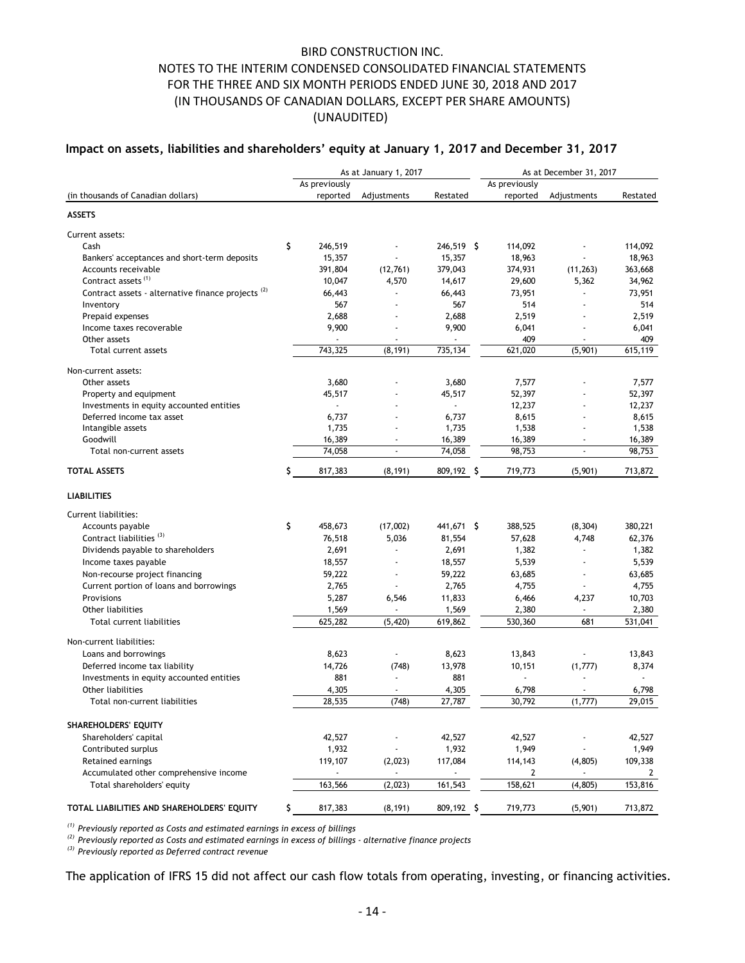### **Impact on assets, liabilities and shareholders' equity at January 1, 2017 and December 31, 2017**

|                                                                                                                                                                                                                                                                         |                  | As at January 1, 2017    |                          | As at December 31, 2017 |                 |                  |  |  |
|-------------------------------------------------------------------------------------------------------------------------------------------------------------------------------------------------------------------------------------------------------------------------|------------------|--------------------------|--------------------------|-------------------------|-----------------|------------------|--|--|
|                                                                                                                                                                                                                                                                         | As previously    |                          |                          | As previously           |                 |                  |  |  |
| (in thousands of Canadian dollars)                                                                                                                                                                                                                                      | reported         | Adjustments              | Restated                 | reported                | Adjustments     | Restated         |  |  |
| <b>ASSETS</b>                                                                                                                                                                                                                                                           |                  |                          |                          |                         |                 |                  |  |  |
| Current assets:                                                                                                                                                                                                                                                         |                  |                          |                          |                         |                 |                  |  |  |
| Cash                                                                                                                                                                                                                                                                    | \$<br>246,519    |                          | 246,519 \$               | 114,092                 |                 | 114,092          |  |  |
| Bankers' acceptances and short-term deposits                                                                                                                                                                                                                            | 15,357           |                          | 15,357                   | 18,963                  |                 | 18,963           |  |  |
| Accounts receivable                                                                                                                                                                                                                                                     | 391,804          | (12,761)                 | 379,043                  | 374,931                 | (11, 263)       | 363,668          |  |  |
| Contract assets <sup>(1)</sup>                                                                                                                                                                                                                                          | 10,047           | 4,570                    | 14,617                   | 29,600                  | 5,362           | 34,962           |  |  |
| Contract assets - alternative finance projects <sup>(2)</sup>                                                                                                                                                                                                           | 66,443           |                          | 66,443                   | 73,951                  |                 | 73,951           |  |  |
| Inventory                                                                                                                                                                                                                                                               | 567              | ÷,                       | 567                      | 514                     |                 | 514              |  |  |
| Prepaid expenses                                                                                                                                                                                                                                                        | 2,688            |                          | 2,688                    | 2,519                   |                 | 2,519            |  |  |
| Income taxes recoverable                                                                                                                                                                                                                                                | 9,900            | ÷,                       | 9,900                    | 6,041                   |                 | 6,041            |  |  |
| Other assets                                                                                                                                                                                                                                                            |                  |                          | $\overline{\phantom{a}}$ | 409                     |                 | 409              |  |  |
| Total current assets                                                                                                                                                                                                                                                    | 743,325          | (8, 191)                 | 735,134                  | 621,020                 | (5,901)         | 615,119          |  |  |
| Non-current assets:                                                                                                                                                                                                                                                     |                  |                          |                          |                         |                 |                  |  |  |
| Other assets                                                                                                                                                                                                                                                            | 3,680            |                          | 3,680                    | 7,577                   |                 | 7,577            |  |  |
| Property and equipment                                                                                                                                                                                                                                                  | 45,517           | ÷,                       | 45,517                   | 52,397                  |                 | 52,397           |  |  |
| Investments in equity accounted entities                                                                                                                                                                                                                                | ш.               |                          |                          | 12,237                  |                 | 12,237           |  |  |
| Deferred income tax asset                                                                                                                                                                                                                                               | 6,737            |                          | 6,737                    | 8,615                   |                 | 8,615            |  |  |
| Intangible assets                                                                                                                                                                                                                                                       | 1,735            |                          | 1,735                    | 1,538                   |                 | 1,538            |  |  |
| Goodwill                                                                                                                                                                                                                                                                | 16,389           |                          | 16,389                   | 16,389                  |                 | 16,389           |  |  |
| Total non-current assets                                                                                                                                                                                                                                                | 74,058           | $\overline{\phantom{a}}$ | 74,058                   | 98,753                  |                 | 98,753           |  |  |
| <b>TOTAL ASSETS</b>                                                                                                                                                                                                                                                     | \$<br>817,383    | (8, 191)                 | 809,192 \$               | 719,773                 | (5,901)         | 713,872          |  |  |
| <b>LIABILITIES</b>                                                                                                                                                                                                                                                      |                  |                          |                          |                         |                 |                  |  |  |
| <b>Current liabilities:</b>                                                                                                                                                                                                                                             |                  |                          |                          |                         |                 |                  |  |  |
| Accounts payable                                                                                                                                                                                                                                                        | \$<br>458,673    | (17,002)                 | 441,671 \$               | 388,525                 | (8, 304)        | 380,221          |  |  |
| Contract liabilities <sup>(3)</sup>                                                                                                                                                                                                                                     | 76,518           | 5,036                    | 81,554                   | 57,628                  | 4,748           | 62,376           |  |  |
| Dividends payable to shareholders                                                                                                                                                                                                                                       | 2,691            |                          | 2,691                    | 1,382                   |                 | 1,382            |  |  |
| Income taxes payable                                                                                                                                                                                                                                                    | 18,557           | ÷,                       | 18,557                   | 5,539                   | $\blacksquare$  | 5,539            |  |  |
| Non-recourse project financing                                                                                                                                                                                                                                          | 59,222           | $\blacksquare$           | 59,222                   | 63,685                  | ÷,              | 63,685           |  |  |
| Current portion of loans and borrowings                                                                                                                                                                                                                                 | 2,765            |                          | 2,765                    | 4,755                   |                 | 4,755            |  |  |
| Provisions                                                                                                                                                                                                                                                              | 5,287            |                          |                          |                         |                 |                  |  |  |
| Other liabilities                                                                                                                                                                                                                                                       |                  | 6,546                    | 11,833                   | 6,466                   | 4,237<br>$\sim$ | 10,703           |  |  |
| Total current liabilities                                                                                                                                                                                                                                               | 1,569<br>625,282 | (5,420)                  | 1,569<br>619,862         | 2,380<br>530,360        | 681             | 2,380<br>531,041 |  |  |
|                                                                                                                                                                                                                                                                         |                  |                          |                          |                         |                 |                  |  |  |
| Non-current liabilities:<br>Loans and borrowings                                                                                                                                                                                                                        | 8,623            |                          | 8,623                    | 13,843                  |                 | 13,843           |  |  |
| Deferred income tax liability                                                                                                                                                                                                                                           | 14,726           | (748)                    | 13,978                   | 10,151                  | (1,777)         | 8,374            |  |  |
|                                                                                                                                                                                                                                                                         | 881              | $\overline{\phantom{a}}$ | 881                      | $\blacksquare$          | ÷,              |                  |  |  |
| Investments in equity accounted entities<br>Other liabilities                                                                                                                                                                                                           |                  | $\sim$                   |                          |                         |                 |                  |  |  |
| Total non-current liabilities                                                                                                                                                                                                                                           | 4,305<br>28,535  | (748)                    | 4,305<br>27,787          | 6,798<br>30,792         | (1,777)         | 6,798<br>29,015  |  |  |
|                                                                                                                                                                                                                                                                         |                  |                          |                          |                         |                 |                  |  |  |
| SHAREHOLDERS' EQUITY                                                                                                                                                                                                                                                    |                  |                          |                          |                         |                 |                  |  |  |
| Shareholders' capital                                                                                                                                                                                                                                                   | 42,527           |                          | 42,527                   | 42,527                  |                 | 42,527           |  |  |
| Contributed surplus                                                                                                                                                                                                                                                     | 1,932            |                          | 1,932                    | 1,949                   |                 | 1,949            |  |  |
| Retained earnings                                                                                                                                                                                                                                                       | 119,107          | (2,023)                  | 117,084                  | 114,143                 | (4,805)         | 109,338          |  |  |
| Accumulated other comprehensive income                                                                                                                                                                                                                                  | $\blacksquare$   | $\overline{\phantom{a}}$ | $\blacksquare$           | 2                       | $\blacksquare$  | 2                |  |  |
| Total shareholders' equity                                                                                                                                                                                                                                              | 163,566          | (2,023)                  | 161,543                  | 158,621                 | (4, 805)        | 153,816          |  |  |
| TOTAL LIABILITIES AND SHAREHOLDERS' EQUITY                                                                                                                                                                                                                              | 817,383          | (8, 191)                 | 809,192 \$               | 719,773                 | (5,901)         | 713,872          |  |  |
| $(1)$ Previously reported as Costs and estimated earnings in excess of billings<br>$^{(2)}$ Previously reported as Costs and estimated earnings in excess of billings - alternative finance projects<br><sup>(3)</sup> Previously reported as Deferred contract revenue |                  |                          |                          |                         |                 |                  |  |  |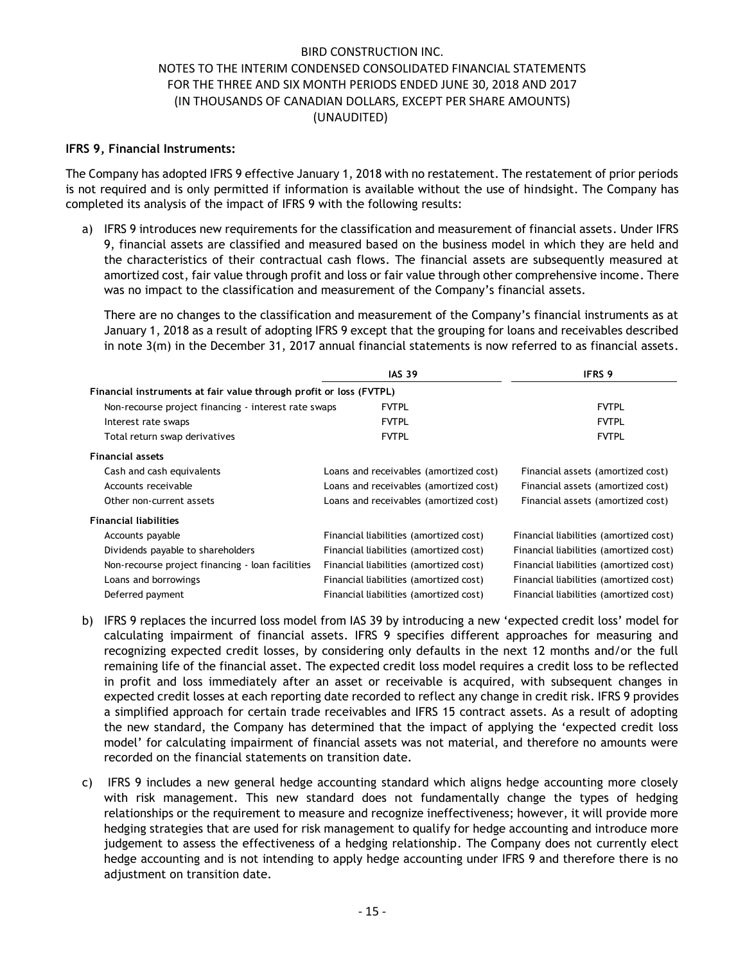### **IFRS 9, Financial Instruments:**

The Company has adopted IFRS 9 effective January 1, 2018 with no restatement. The restatement of prior periods is not required and is only permitted if information is available without the use of hindsight. The Company has completed its analysis of the impact of IFRS 9 with the following results:

a) IFRS 9 introduces new requirements for the classification and measurement of financial assets. Under IFRS 9, financial assets are classified and measured based on the business model in which they are held and the characteristics of their contractual cash flows. The financial assets are subsequently measured at amortized cost, fair value through profit and loss or fair value through other comprehensive income. There was no impact to the classification and measurement of the Company's financial assets.

There are no changes to the classification and measurement of the Company's financial instruments as at January 1, 2018 as a result of adopting IFRS 9 except that the grouping for loans and receivables described in note 3(m) in the December 31, 2017 annual financial statements is now referred to as financial assets.

|                                                                    | <b>IAS 39</b>                          | <b>IFRS 9</b>                          |
|--------------------------------------------------------------------|----------------------------------------|----------------------------------------|
| Financial instruments at fair value through profit or loss (FVTPL) |                                        |                                        |
| Non-recourse project financing - interest rate swaps               | <b>FVTPL</b>                           | <b>FVTPL</b>                           |
| Interest rate swaps                                                | <b>FVTPL</b>                           | <b>FVTPL</b>                           |
| Total return swap derivatives                                      | <b>FVTPL</b>                           | <b>FVTPL</b>                           |
| <b>Financial assets</b>                                            |                                        |                                        |
| Cash and cash equivalents                                          | Loans and receivables (amortized cost) | Financial assets (amortized cost)      |
| Accounts receivable                                                | Loans and receivables (amortized cost) | Financial assets (amortized cost)      |
| Other non-current assets                                           | Loans and receivables (amortized cost) | Financial assets (amortized cost)      |
| <b>Financial liabilities</b>                                       |                                        |                                        |
| Accounts payable                                                   | Financial liabilities (amortized cost) | Financial liabilities (amortized cost) |
| Dividends payable to shareholders                                  | Financial liabilities (amortized cost) | Financial liabilities (amortized cost) |
| Non-recourse project financing - loan facilities                   | Financial liabilities (amortized cost) | Financial liabilities (amortized cost) |
| Loans and borrowings                                               | Financial liabilities (amortized cost) | Financial liabilities (amortized cost) |
| Deferred payment                                                   | Financial liabilities (amortized cost) | Financial liabilities (amortized cost) |

- b) IFRS 9 replaces the incurred loss model from IAS 39 by introducing a new 'expected credit loss' model for calculating impairment of financial assets. IFRS 9 specifies different approaches for measuring and recognizing expected credit losses, by considering only defaults in the next 12 months and/or the full remaining life of the financial asset. The expected credit loss model requires a credit loss to be reflected in profit and loss immediately after an asset or receivable is acquired, with subsequent changes in expected credit losses at each reporting date recorded to reflect any change in credit risk. IFRS 9 provides a simplified approach for certain trade receivables and IFRS 15 contract assets. As a result of adopting the new standard, the Company has determined that the impact of applying the 'expected credit loss model' for calculating impairment of financial assets was not material, and therefore no amounts were recorded on the financial statements on transition date.
- c) IFRS 9 includes a new general hedge accounting standard which aligns hedge accounting more closely with risk management. This new standard does not fundamentally change the types of hedging relationships or the requirement to measure and recognize ineffectiveness; however, it will provide more hedging strategies that are used for risk management to qualify for hedge accounting and introduce more judgement to assess the effectiveness of a hedging relationship. The Company does not currently elect hedge accounting and is not intending to apply hedge accounting under IFRS 9 and therefore there is no adjustment on transition date.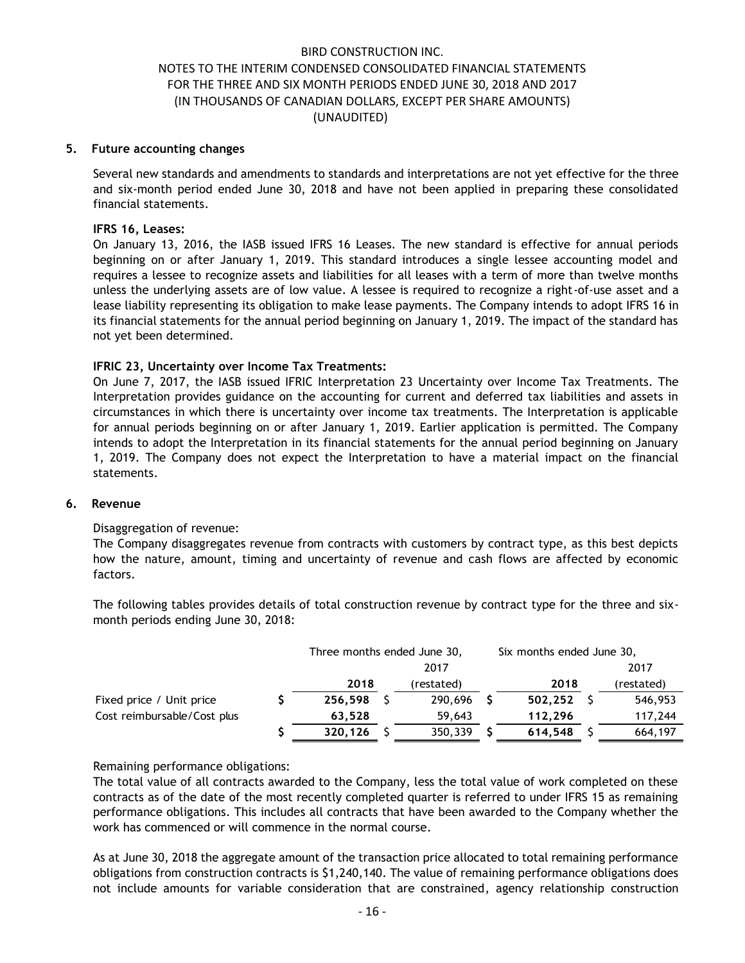#### **5. Future accounting changes**

Several new standards and amendments to standards and interpretations are not yet effective for the three and six-month period ended June 30, 2018 and have not been applied in preparing these consolidated financial statements.

#### **IFRS 16, Leases:**

On January 13, 2016, the IASB issued IFRS 16 Leases. The new standard is effective for annual periods beginning on or after January 1, 2019. This standard introduces a single lessee accounting model and requires a lessee to recognize assets and liabilities for all leases with a term of more than twelve months unless the underlying assets are of low value. A lessee is required to recognize a right-of-use asset and a lease liability representing its obligation to make lease payments. The Company intends to adopt IFRS 16 in its financial statements for the annual period beginning on January 1, 2019. The impact of the standard has not yet been determined.

### **IFRIC 23, Uncertainty over Income Tax Treatments:**

On June 7, 2017, the IASB issued IFRIC Interpretation 23 Uncertainty over Income Tax Treatments. The Interpretation provides guidance on the accounting for current and deferred tax liabilities and assets in circumstances in which there is uncertainty over income tax treatments. The Interpretation is applicable for annual periods beginning on or after January 1, 2019. Earlier application is permitted. The Company intends to adopt the Interpretation in its financial statements for the annual period beginning on January 1, 2019. The Company does not expect the Interpretation to have a material impact on the financial statements.

#### **6. Revenue**

### Disaggregation of revenue:

The Company disaggregates revenue from contracts with customers by contract type, as this best depicts how the nature, amount, timing and uncertainty of revenue and cash flows are affected by economic factors.

The following tables provides details of total construction revenue by contract type for the three and sixmonth periods ending June 30, 2018:

|                             | Three months ended June 30, |  |            |  | Six months ended June 30, |  |            |  |  |  |
|-----------------------------|-----------------------------|--|------------|--|---------------------------|--|------------|--|--|--|
|                             | 2017                        |  |            |  |                           |  | 2017       |  |  |  |
|                             | 2018                        |  | (restated) |  | 2018                      |  | (restated) |  |  |  |
| Fixed price / Unit price    | 256,598                     |  | 290,696    |  | 502,252                   |  | 546,953    |  |  |  |
| Cost reimbursable/Cost plus | 63.528                      |  | 59,643     |  | 112,296                   |  | 117,244    |  |  |  |
|                             | 320,126                     |  | 350,339    |  | 614,548                   |  | 664,197    |  |  |  |

### Remaining performance obligations:

The total value of all contracts awarded to the Company, less the total value of work completed on these contracts as of the date of the most recently completed quarter is referred to under IFRS 15 as remaining performance obligations. This includes all contracts that have been awarded to the Company whether the work has commenced or will commence in the normal course.

As at June 30, 2018 the aggregate amount of the transaction price allocated to total remaining performance obligations from construction contracts is \$1,240,140. The value of remaining performance obligations does not include amounts for variable consideration that are constrained, agency relationship construction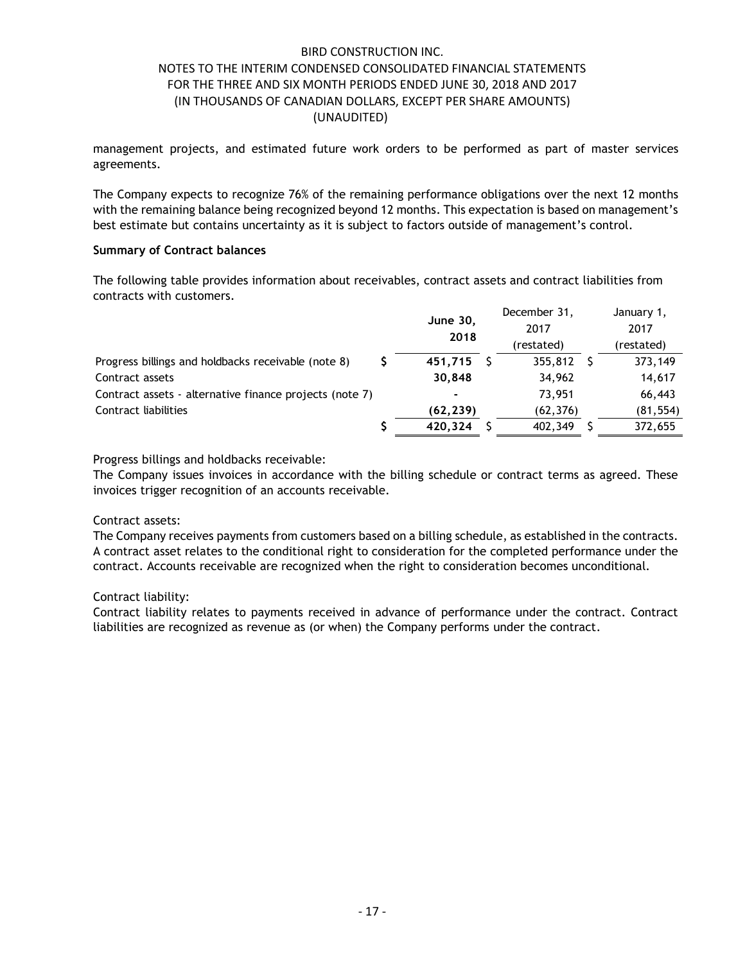management projects, and estimated future work orders to be performed as part of master services agreements.

The Company expects to recognize 76% of the remaining performance obligations over the next 12 months with the remaining balance being recognized beyond 12 months. This expectation is based on management's best estimate but contains uncertainty as it is subject to factors outside of management's control.

### **Summary of Contract balances**

The following table provides information about receivables, contract assets and contract liabilities from contracts with customers.

|                                                         | <b>June 30,</b><br>2018 |  | December 31,<br>2017 | January 1,<br>2017 |
|---------------------------------------------------------|-------------------------|--|----------------------|--------------------|
|                                                         |                         |  | (restated)           | (restated)         |
| Progress billings and holdbacks receivable (note 8)     | 451.715                 |  | 355,812              | 373,149            |
| Contract assets                                         | 30.848                  |  | 34,962               | 14,617             |
| Contract assets - alternative finance projects (note 7) |                         |  | 73,951               | 66,443             |
| Contract liabilities                                    | (62,239)                |  | (62, 376)            | (81, 554)          |
|                                                         | 420.324                 |  | 402,349              | 372,655            |

Progress billings and holdbacks receivable:

The Company issues invoices in accordance with the billing schedule or contract terms as agreed. These invoices trigger recognition of an accounts receivable.

### Contract assets:

The Company receives payments from customers based on a billing schedule, as established in the contracts. A contract asset relates to the conditional right to consideration for the completed performance under the contract. Accounts receivable are recognized when the right to consideration becomes unconditional.

### Contract liability:

Contract liability relates to payments received in advance of performance under the contract. Contract liabilities are recognized as revenue as (or when) the Company performs under the contract.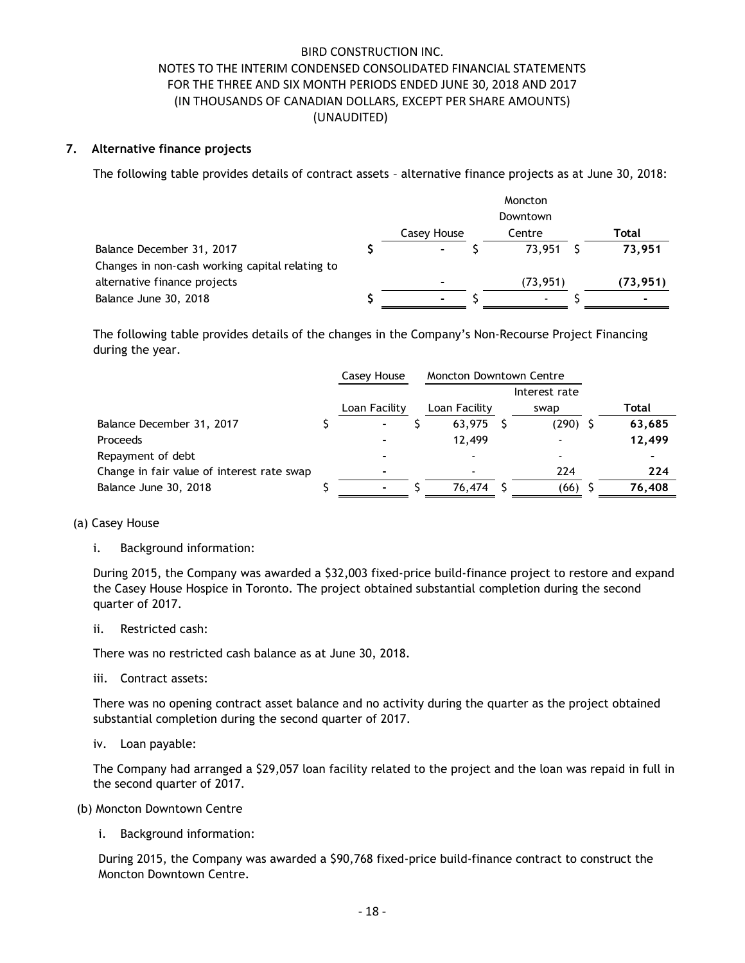### **7. Alternative finance projects**

The following table provides details of contract assets – alternative finance projects as at June 30, 2018:

|                                                 |             | Moncton        |          |
|-------------------------------------------------|-------------|----------------|----------|
|                                                 |             | Downtown       |          |
|                                                 | Casey House | Centre         | Total    |
| Balance December 31, 2017                       |             | 73.951         | 73.951   |
| Changes in non-cash working capital relating to |             |                |          |
| alternative finance projects                    |             | (73, 951)      | (73,951) |
| Balance June 30, 2018                           |             | $\blacksquare$ |          |

The following table provides details of the changes in the Company's Non-Recourse Project Financing during the year.

|                                            | Casey House   | <b>Moncton Downtown Centre</b> |               |        |
|--------------------------------------------|---------------|--------------------------------|---------------|--------|
|                                            |               |                                | Interest rate |        |
|                                            | Loan Facility | Loan Facility                  | swap          | Total  |
| Balance December 31, 2017                  |               | 63.975                         | $(290)$ \$    | 63,685 |
| Proceeds                                   |               | 12,499                         |               | 12,499 |
| Repayment of debt                          |               |                                |               |        |
| Change in fair value of interest rate swap | -             | ٠                              | 224           | 224    |
| Balance June 30, 2018                      |               | 76,474                         | (66)          | 76,408 |

#### (a) Casey House

i. Background information:

During 2015, the Company was awarded a \$32,003 fixed-price build-finance project to restore and expand the Casey House Hospice in Toronto. The project obtained substantial completion during the second quarter of 2017.

ii. Restricted cash:

There was no restricted cash balance as at June 30, 2018.

iii. Contract assets:

There was no opening contract asset balance and no activity during the quarter as the project obtained substantial completion during the second quarter of 2017.

iv. Loan payable:

The Company had arranged a \$29,057 loan facility related to the project and the loan was repaid in full in the second quarter of 2017.

(b) Moncton Downtown Centre

i. Background information:

During 2015, the Company was awarded a \$90,768 fixed-price build-finance contract to construct the Moncton Downtown Centre.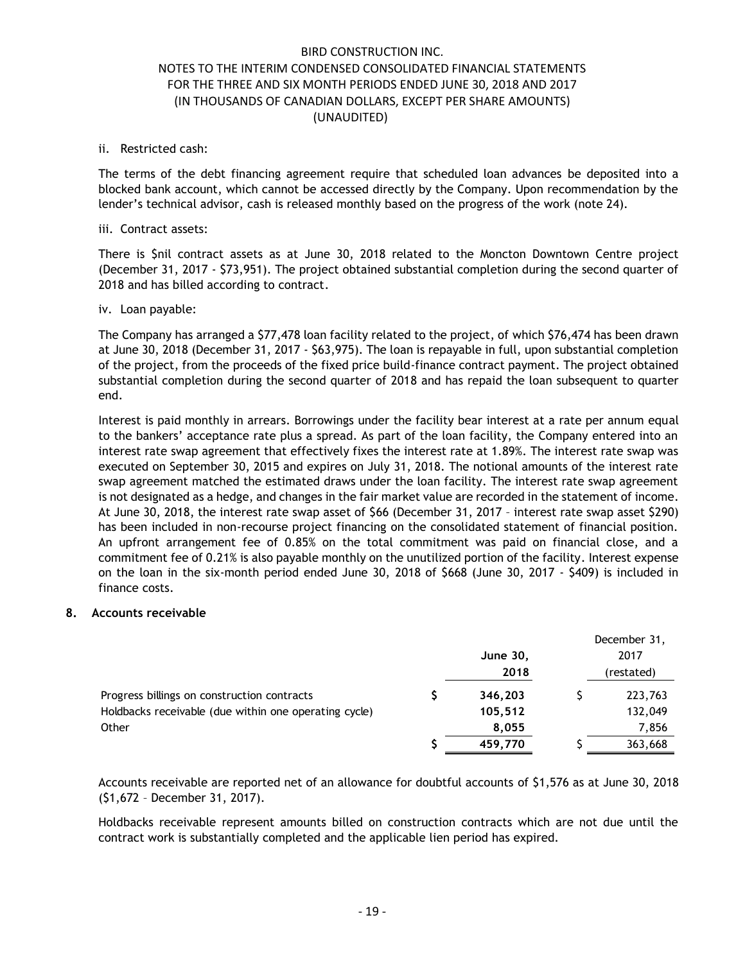#### ii. Restricted cash:

The terms of the debt financing agreement require that scheduled loan advances be deposited into a blocked bank account, which cannot be accessed directly by the Company. Upon recommendation by the lender's technical advisor, cash is released monthly based on the progress of the work (note 24).

#### iii. Contract assets:

There is \$nil contract assets as at June 30, 2018 related to the Moncton Downtown Centre project (December 31, 2017 - \$73,951). The project obtained substantial completion during the second quarter of 2018 and has billed according to contract.

### iv. Loan payable:

The Company has arranged a \$77,478 loan facility related to the project, of which \$76,474 has been drawn at June 30, 2018 (December 31, 2017 - \$63,975). The loan is repayable in full, upon substantial completion of the project, from the proceeds of the fixed price build-finance contract payment. The project obtained substantial completion during the second quarter of 2018 and has repaid the loan subsequent to quarter end.

Interest is paid monthly in arrears. Borrowings under the facility bear interest at a rate per annum equal to the bankers' acceptance rate plus a spread. As part of the loan facility, the Company entered into an interest rate swap agreement that effectively fixes the interest rate at 1.89%. The interest rate swap was executed on September 30, 2015 and expires on July 31, 2018. The notional amounts of the interest rate swap agreement matched the estimated draws under the loan facility. The interest rate swap agreement is not designated as a hedge, and changes in the fair market value are recorded in the statement of income. At June 30, 2018, the interest rate swap asset of \$66 (December 31, 2017 – interest rate swap asset \$290) has been included in non-recourse project financing on the consolidated statement of financial position. An upfront arrangement fee of 0.85% on the total commitment was paid on financial close, and a commitment fee of 0.21% is also payable monthly on the unutilized portion of the facility. Interest expense on the loan in the six-month period ended June 30, 2018 of \$668 (June 30, 2017 - \$409) is included in finance costs.

### **8. Accounts receivable**

|                                                       |                 | December 31, |
|-------------------------------------------------------|-----------------|--------------|
|                                                       | <b>June 30,</b> | 2017         |
|                                                       | 2018            | (restated)   |
| Progress billings on construction contracts           | 346,203         | 223,763      |
| Holdbacks receivable (due within one operating cycle) | 105,512         | 132,049      |
| Other                                                 | 8,055           | 7,856        |
|                                                       | 459,770         | 363,668      |

Accounts receivable are reported net of an allowance for doubtful accounts of \$1,576 as at June 30, 2018 (\$1,672 – December 31, 2017).

Holdbacks receivable represent amounts billed on construction contracts which are not due until the contract work is substantially completed and the applicable lien period has expired.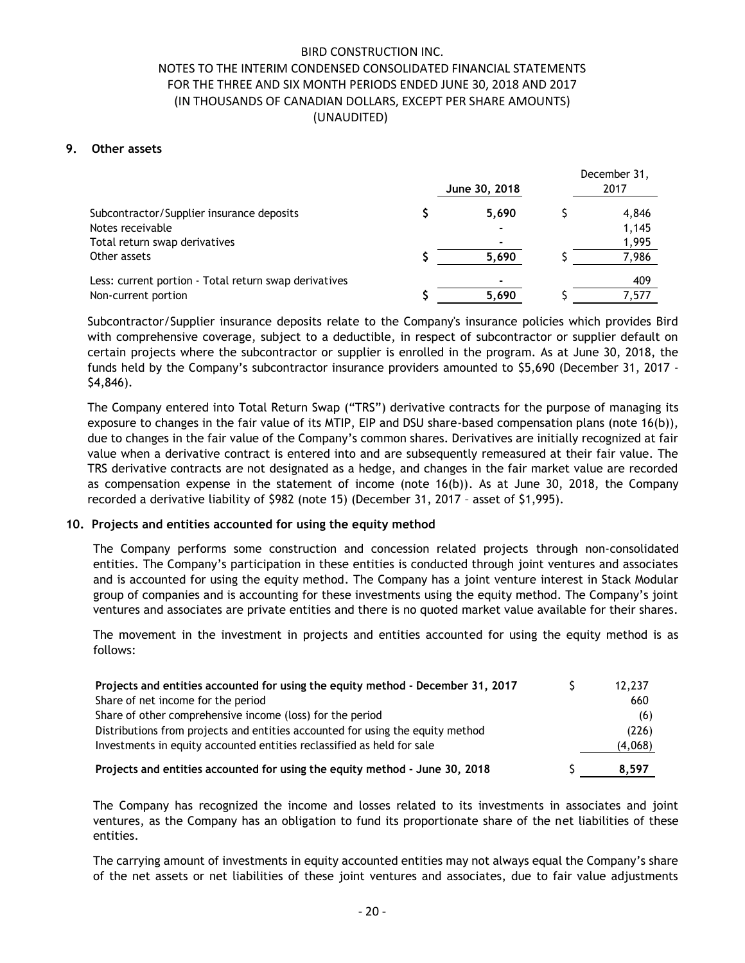### **9. Other assets**

|                                                       | June 30, 2018            | December 31,<br>2017 |
|-------------------------------------------------------|--------------------------|----------------------|
| Subcontractor/Supplier insurance deposits             | 5.690                    | 4,846                |
| Notes receivable                                      |                          | 1,145                |
| Total return swap derivatives                         | ۰                        | 1,995                |
| Other assets                                          | 5.690                    | 7,986                |
| Less: current portion - Total return swap derivatives | $\overline{\phantom{0}}$ | 409                  |
| Non-current portion                                   | 5.690                    | 7,577                |

Subcontractor/Supplier insurance deposits relate to the Company's insurance policies which provides Bird with comprehensive coverage, subject to a deductible, in respect of subcontractor or supplier default on certain projects where the subcontractor or supplier is enrolled in the program. As at June 30, 2018, the funds held by the Company's subcontractor insurance providers amounted to \$5,690 (December 31, 2017 - \$4,846).

The Company entered into Total Return Swap ("TRS") derivative contracts for the purpose of managing its exposure to changes in the fair value of its MTIP, EIP and DSU share-based compensation plans (note 16(b)), due to changes in the fair value of the Company's common shares. Derivatives are initially recognized at fair value when a derivative contract is entered into and are subsequently remeasured at their fair value. The TRS derivative contracts are not designated as a hedge, and changes in the fair market value are recorded as compensation expense in the statement of income (note 16(b)). As at June 30, 2018, the Company recorded a derivative liability of \$982 (note 15) (December 31, 2017 – asset of \$1,995).

#### **10. Projects and entities accounted for using the equity method**

The Company performs some construction and concession related projects through non-consolidated entities. The Company's participation in these entities is conducted through joint ventures and associates and is accounted for using the equity method. The Company has a joint venture interest in Stack Modular group of companies and is accounting for these investments using the equity method. The Company's joint ventures and associates are private entities and there is no quoted market value available for their shares.

The movement in the investment in projects and entities accounted for using the equity method is as follows:

| Projects and entities accounted for using the equity method - December 31, 2017 | 12,237  |
|---------------------------------------------------------------------------------|---------|
| Share of net income for the period                                              | 660     |
| Share of other comprehensive income (loss) for the period                       | (6)     |
| Distributions from projects and entities accounted for using the equity method  | (226)   |
| Investments in equity accounted entities reclassified as held for sale          | (4,068) |
| Projects and entities accounted for using the equity method - June 30, 2018     | 8.597   |

The Company has recognized the income and losses related to its investments in associates and joint ventures, as the Company has an obligation to fund its proportionate share of the net liabilities of these entities.

The carrying amount of investments in equity accounted entities may not always equal the Company's share of the net assets or net liabilities of these joint ventures and associates, due to fair value adjustments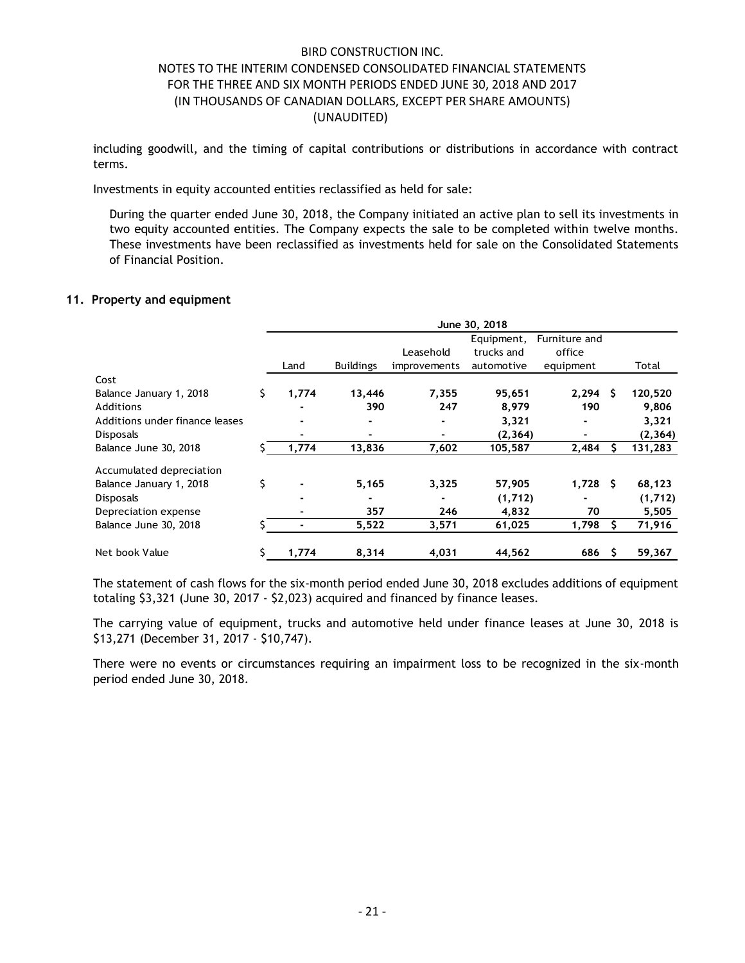including goodwill, and the timing of capital contributions or distributions in accordance with contract terms.

Investments in equity accounted entities reclassified as held for sale:

During the quarter ended June 30, 2018, the Company initiated an active plan to sell its investments in two equity accounted entities. The Company expects the sale to be completed within twelve months. These investments have been reclassified as investments held for sale on the Consolidated Statements of Financial Position.

### **11. Property and equipment**

|                                | June 30, 2018 |                  |              |            |               |          |          |  |
|--------------------------------|---------------|------------------|--------------|------------|---------------|----------|----------|--|
|                                |               |                  |              | Equipment, | Furniture and |          |          |  |
|                                |               |                  | Leasehold    | trucks and | office        |          |          |  |
|                                | Land          | <b>Buildings</b> | improvements | automotive | equipment     |          | Total    |  |
| Cost                           |               |                  |              |            |               |          |          |  |
| Balance January 1, 2018        | \$<br>1,774   | 13,446           | 7,355        | 95,651     | 2,294         | S.       | 120,520  |  |
| <b>Additions</b>               |               | 390              | 247          | 8,979      | 190           |          | 9,806    |  |
| Additions under finance leases |               | ۰                |              | 3,321      |               |          | 3,321    |  |
| <b>Disposals</b>               |               |                  |              | (2, 364)   |               |          | (2, 364) |  |
| Balance June 30, 2018          | 1,774         | 13,836           | 7,602        | 105,587    | 2,484         | S        | 131,283  |  |
| Accumulated depreciation       |               |                  |              |            |               |          |          |  |
| Balance January 1, 2018        | \$            | 5,165            | 3,325        | 57,905     | 1,728         | <b>S</b> | 68,123   |  |
| <b>Disposals</b>               |               |                  |              | (1,712)    |               |          | (1,712)  |  |
| Depreciation expense           |               | 357              | 246          | 4,832      | 70            |          | 5,505    |  |
| Balance June 30, 2018          |               | 5,522            | 3,571        | 61,025     | 1,798         |          | 71,916   |  |
| Net book Value                 | 1,774         | 8,314            | 4,031        | 44,562     | 686           | S        | 59,367   |  |

The statement of cash flows for the six-month period ended June 30, 2018 excludes additions of equipment totaling \$3,321 (June 30, 2017 - \$2,023) acquired and financed by finance leases.

The carrying value of equipment, trucks and automotive held under finance leases at June 30, 2018 is \$13,271 (December 31, 2017 - \$10,747).

There were no events or circumstances requiring an impairment loss to be recognized in the six-month period ended June 30, 2018.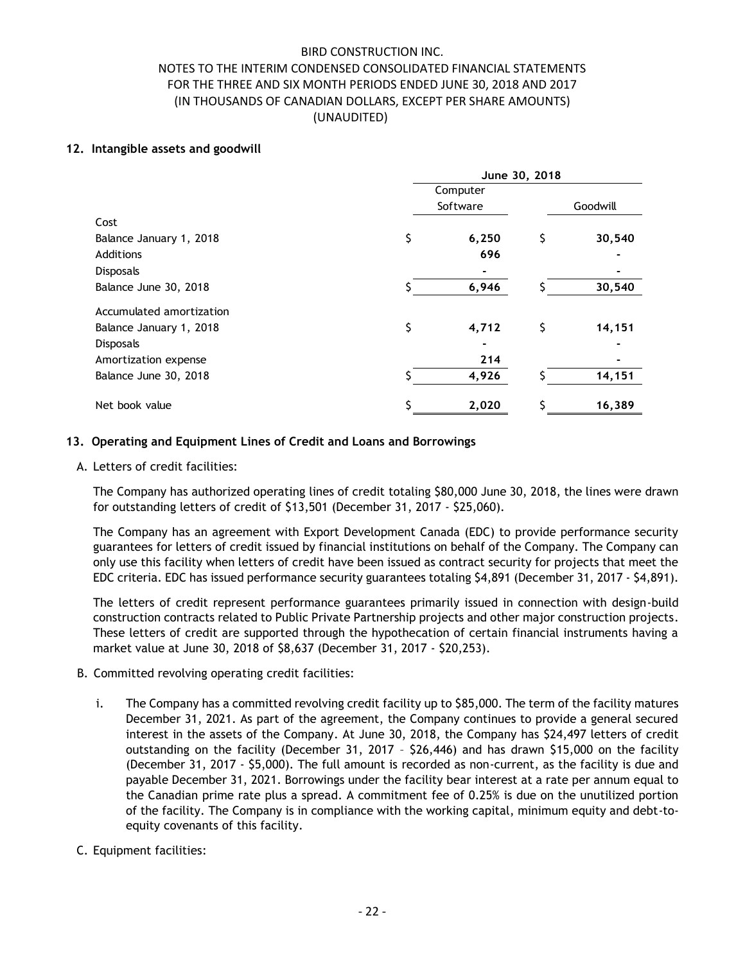### **12. Intangible assets and goodwill**

|                          | June 30, 2018 |          |    |          |  |  |
|--------------------------|---------------|----------|----|----------|--|--|
|                          |               | Computer |    |          |  |  |
|                          |               | Software |    | Goodwill |  |  |
| Cost                     |               |          |    |          |  |  |
| Balance January 1, 2018  | \$            | 6,250    | \$ | 30,540   |  |  |
| <b>Additions</b>         |               | 696      |    |          |  |  |
| <b>Disposals</b>         |               |          |    |          |  |  |
| Balance June 30, 2018    |               | 6,946    |    | 30,540   |  |  |
| Accumulated amortization |               |          |    |          |  |  |
| Balance January 1, 2018  | \$            | 4,712    | \$ | 14,151   |  |  |
| <b>Disposals</b>         |               |          |    |          |  |  |
| Amortization expense     |               | 214      |    |          |  |  |
| Balance June 30, 2018    |               | 4,926    |    | 14,151   |  |  |
| Net book value           | Ś             | 2,020    |    | 16,389   |  |  |

### **13. Operating and Equipment Lines of Credit and Loans and Borrowings**

A. Letters of credit facilities:

The Company has authorized operating lines of credit totaling \$80,000 June 30, 2018, the lines were drawn for outstanding letters of credit of \$13,501 (December 31, 2017 - \$25,060).

The Company has an agreement with Export Development Canada (EDC) to provide performance security guarantees for letters of credit issued by financial institutions on behalf of the Company. The Company can only use this facility when letters of credit have been issued as contract security for projects that meet the EDC criteria. EDC has issued performance security guarantees totaling \$4,891 (December 31, 2017 - \$4,891).

The letters of credit represent performance guarantees primarily issued in connection with design-build construction contracts related to Public Private Partnership projects and other major construction projects. These letters of credit are supported through the hypothecation of certain financial instruments having a market value at June 30, 2018 of \$8,637 (December 31, 2017 - \$20,253).

- B. Committed revolving operating credit facilities:
	- i. The Company has a committed revolving credit facility up to \$85,000. The term of the facility matures December 31, 2021. As part of the agreement, the Company continues to provide a general secured interest in the assets of the Company. At June 30, 2018, the Company has \$24,497 letters of credit outstanding on the facility (December 31, 2017 – \$26,446) and has drawn \$15,000 on the facility (December 31, 2017 - \$5,000). The full amount is recorded as non-current, as the facility is due and payable December 31, 2021. Borrowings under the facility bear interest at a rate per annum equal to the Canadian prime rate plus a spread. A commitment fee of 0.25% is due on the unutilized portion of the facility. The Company is in compliance with the working capital, minimum equity and debt-toequity covenants of this facility.
- C. Equipment facilities: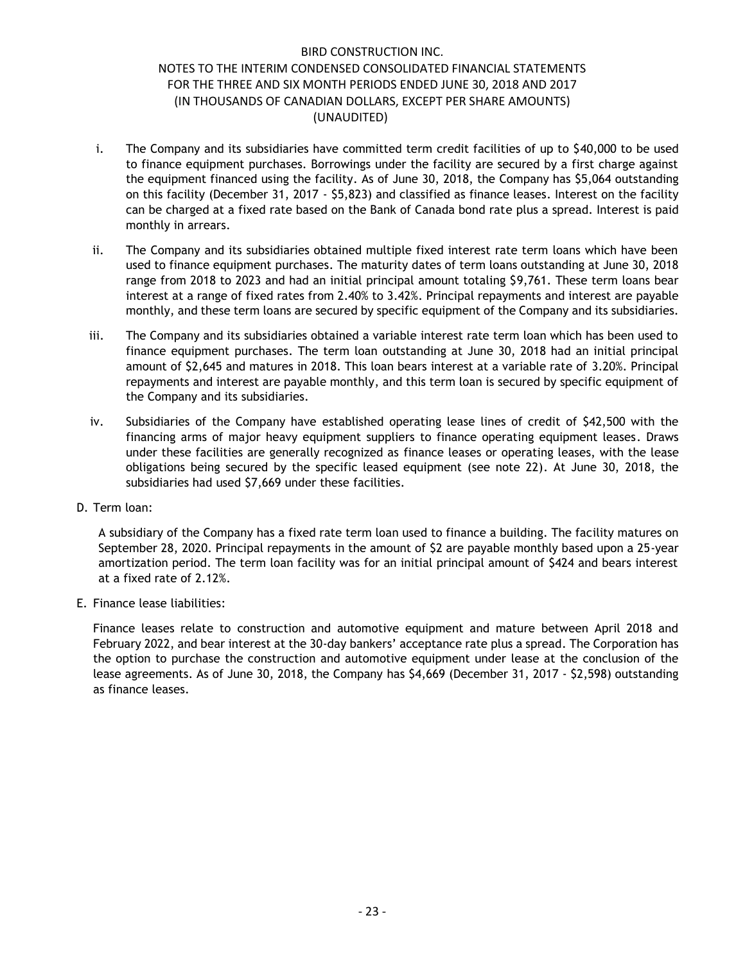- i. The Company and its subsidiaries have committed term credit facilities of up to \$40,000 to be used to finance equipment purchases. Borrowings under the facility are secured by a first charge against the equipment financed using the facility. As of June 30, 2018, the Company has \$5,064 outstanding on this facility (December 31, 2017 - \$5,823) and classified as finance leases. Interest on the facility can be charged at a fixed rate based on the Bank of Canada bond rate plus a spread. Interest is paid monthly in arrears.
- ii. The Company and its subsidiaries obtained multiple fixed interest rate term loans which have been used to finance equipment purchases. The maturity dates of term loans outstanding at June 30, 2018 range from 2018 to 2023 and had an initial principal amount totaling \$9,761. These term loans bear interest at a range of fixed rates from 2.40% to 3.42%. Principal repayments and interest are payable monthly, and these term loans are secured by specific equipment of the Company and its subsidiaries.
- iii. The Company and its subsidiaries obtained a variable interest rate term loan which has been used to finance equipment purchases. The term loan outstanding at June 30, 2018 had an initial principal amount of \$2,645 and matures in 2018. This loan bears interest at a variable rate of 3.20%. Principal repayments and interest are payable monthly, and this term loan is secured by specific equipment of the Company and its subsidiaries.
- iv. Subsidiaries of the Company have established operating lease lines of credit of \$42,500 with the financing arms of major heavy equipment suppliers to finance operating equipment leases. Draws under these facilities are generally recognized as finance leases or operating leases, with the lease obligations being secured by the specific leased equipment (see note 22). At June 30, 2018, the subsidiaries had used \$7,669 under these facilities.
- D. Term loan:

A subsidiary of the Company has a fixed rate term loan used to finance a building. The facility matures on September 28, 2020. Principal repayments in the amount of \$2 are payable monthly based upon a 25-year amortization period. The term loan facility was for an initial principal amount of \$424 and bears interest at a fixed rate of 2.12%.

E. Finance lease liabilities:

Finance leases relate to construction and automotive equipment and mature between April 2018 and February 2022, and bear interest at the 30-day bankers' acceptance rate plus a spread. The Corporation has the option to purchase the construction and automotive equipment under lease at the conclusion of the lease agreements. As of June 30, 2018, the Company has \$4,669 (December 31, 2017 - \$2,598) outstanding as finance leases.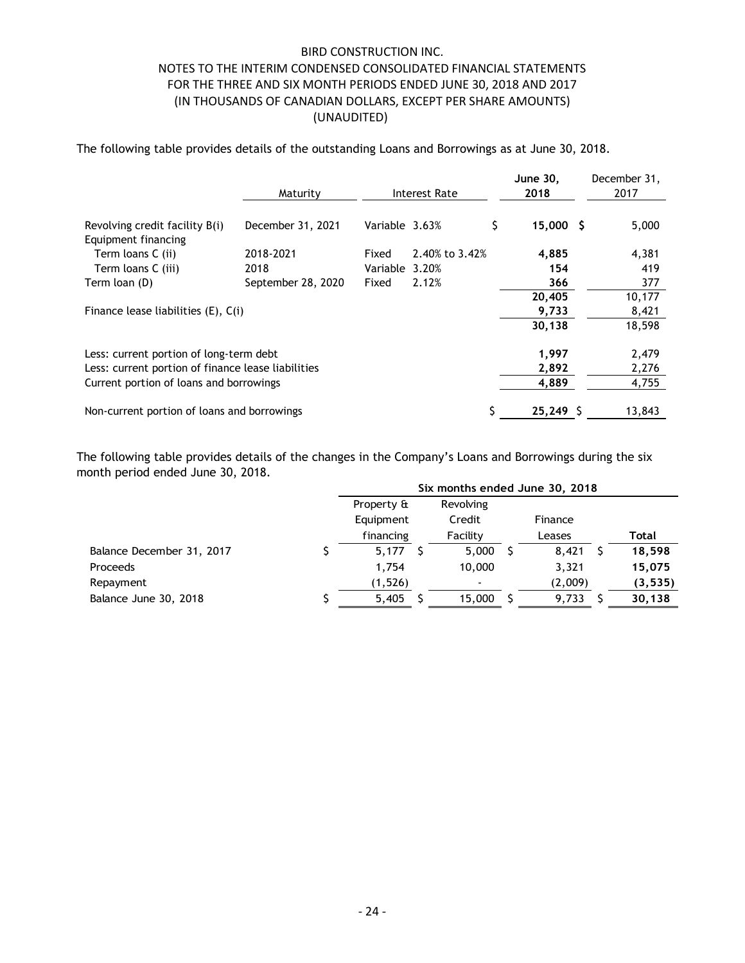The following table provides details of the outstanding Loans and Borrowings as at June 30, 2018.

|                                                       | Maturity<br>Interest Rate |                |                | June 30,<br>2018       | December 31,<br>2017 |
|-------------------------------------------------------|---------------------------|----------------|----------------|------------------------|----------------------|
| Revolving credit facility B(i)<br>Equipment financing | December 31, 2021         | Variable 3.63% |                | \$<br>$15,000 \quad $$ | 5,000                |
| Term loans C (ii)                                     | 2018-2021                 | Fixed          | 2.40% to 3.42% | 4,885                  | 4,381                |
| Term loans C (iii)                                    | 2018                      | Variable 3.20% |                | 154                    | 419                  |
| Term loan (D)                                         | September 28, 2020        | Fixed          | 2.12%          | 366                    | 377                  |
|                                                       |                           |                |                | 20,405                 | 10,177               |
| Finance lease liabilities (E), C(i)                   |                           |                |                | 9,733                  | 8,421                |
|                                                       |                           |                |                | 30,138                 | 18,598               |
| Less: current portion of long-term debt               |                           |                |                | 1,997                  | 2,479                |
| Less: current portion of finance lease liabilities    |                           |                |                | 2,892                  | 2,276                |
| Current portion of loans and borrowings               |                           |                |                | 4,889                  | 4,755                |
| Non-current portion of loans and borrowings           |                           |                |                | $25,249$ \$            | 13,843               |

The following table provides details of the changes in the Company's Loans and Borrowings during the six month period ended June 30, 2018.

|                           | Six months ended June 30, 2018 |           |  |         |  |          |  |  |
|---------------------------|--------------------------------|-----------|--|---------|--|----------|--|--|
|                           | Property &                     | Revolving |  |         |  |          |  |  |
|                           | Equipment                      | Credit    |  | Finance |  |          |  |  |
|                           | financing                      | Facility  |  | Leases  |  | Total    |  |  |
| Balance December 31, 2017 | 5,177                          | 5,000     |  | 8,421   |  | 18,598   |  |  |
| <b>Proceeds</b>           | 1.754                          | 10,000    |  | 3,321   |  | 15,075   |  |  |
| Repayment                 | (1, 526)                       |           |  | (2,009) |  | (3, 535) |  |  |
| Balance June 30, 2018     | 5,405                          | 15,000    |  | 9,733   |  | 30,138   |  |  |
|                           |                                |           |  |         |  |          |  |  |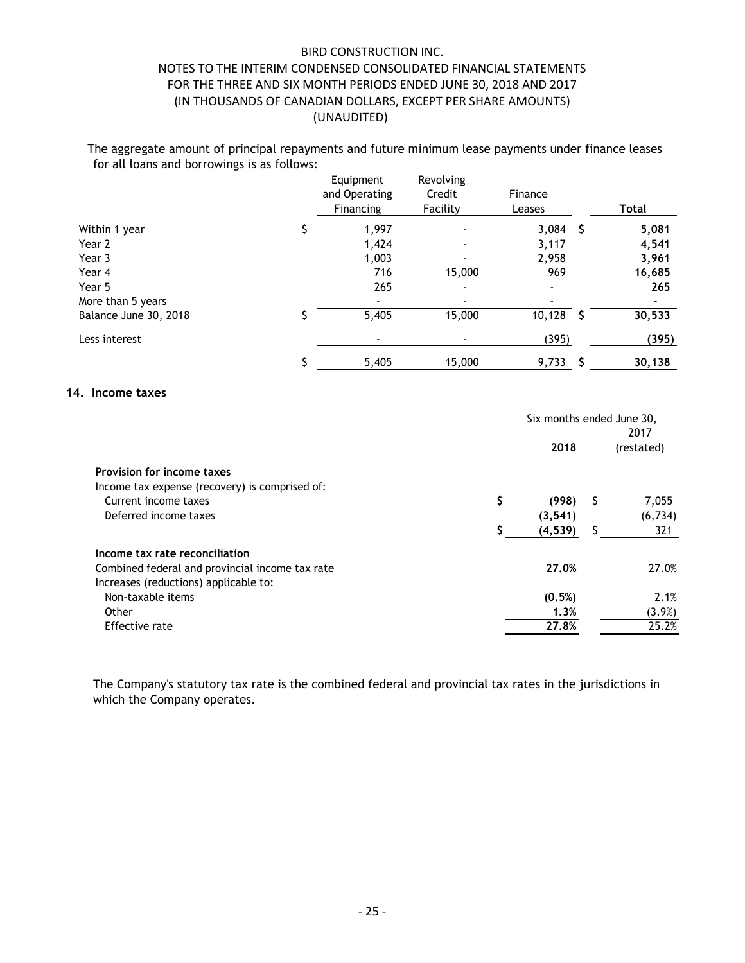The aggregate amount of principal repayments and future minimum lease payments under finance leases for all loans and borrowings is as follows:

|                       | Equipment<br>and Operating<br>Financing | Revolving<br>Credit<br>Facility | Finance<br>Leases |     | Total  |
|-----------------------|-----------------------------------------|---------------------------------|-------------------|-----|--------|
| Within 1 year         | 1,997                                   |                                 | 3,084             | - Ş | 5,081  |
| Year 2                | 1,424                                   | $\blacksquare$                  | 3,117             |     | 4,541  |
| Year 3                | 1,003                                   |                                 | 2,958             |     | 3,961  |
| Year 4                | 716                                     | 15,000                          | 969               |     | 16,685 |
| Year 5                | 265                                     | $\blacksquare$                  |                   |     | 265    |
| More than 5 years     |                                         |                                 |                   |     |        |
| Balance June 30, 2018 | 5,405                                   | 15,000                          | 10,128            | - S | 30,533 |
| Less interest         |                                         |                                 | (395)             |     | (395)  |
|                       | 5,405                                   | 15,000                          | 9,733             |     | 30,138 |

#### **14. Income taxes**

|                                                                                          |    | Six months ended June 30,<br>2017 |    |            |
|------------------------------------------------------------------------------------------|----|-----------------------------------|----|------------|
|                                                                                          |    | 2018                              |    | (restated) |
| Provision for income taxes                                                               |    |                                   |    |            |
| Income tax expense (recovery) is comprised of:                                           |    |                                   |    |            |
| Current income taxes                                                                     | \$ | (998)                             | -S | 7,055      |
| Deferred income taxes                                                                    |    | (3, 541)                          |    | (6, 734)   |
|                                                                                          | S  | (4, 539)                          | S  | 321        |
| Income tax rate reconciliation                                                           |    |                                   |    |            |
| Combined federal and provincial income tax rate<br>Increases (reductions) applicable to: |    | 27.0%                             |    | 27.0%      |
| Non-taxable items                                                                        |    | (0.5%)                            |    | 2.1%       |
| Other                                                                                    |    | 1.3%                              |    | $(3.9\%)$  |
| Effective rate                                                                           |    | 27.8%                             |    | 25.2%      |

The Company's statutory tax rate is the combined federal and provincial tax rates in the jurisdictions in which the Company operates.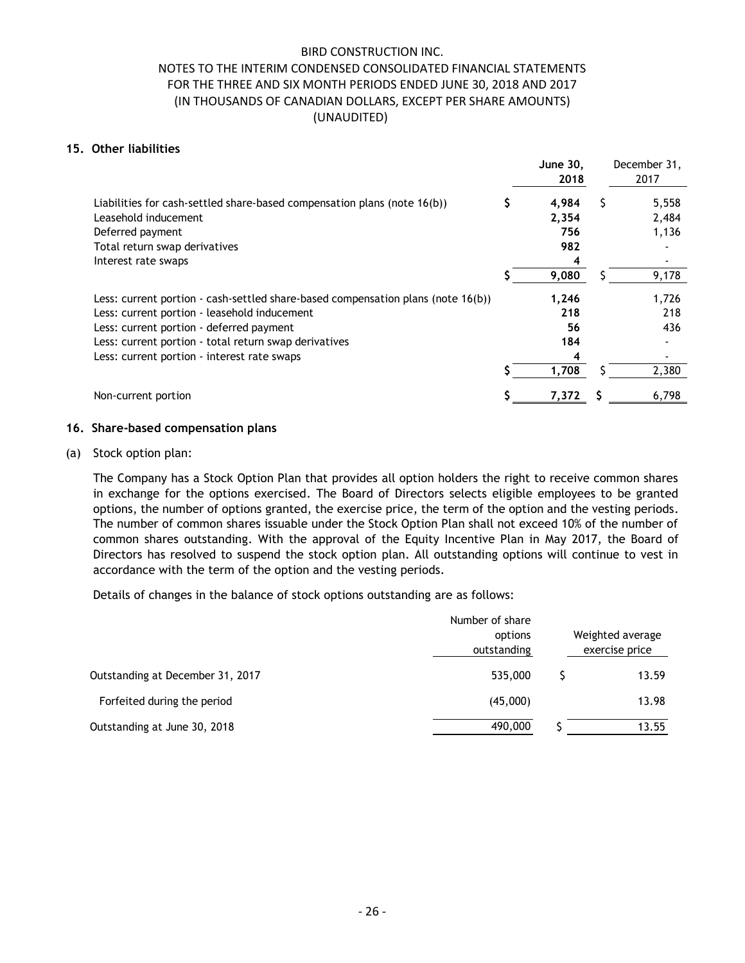### **15. Other liabilities**

|                                                                                  |   | <b>June 30,</b><br>2018 |   | December 31,<br>2017 |
|----------------------------------------------------------------------------------|---|-------------------------|---|----------------------|
| Liabilities for cash-settled share-based compensation plans (note 16(b))         | S | 4,984                   | S | 5,558                |
| Leasehold inducement                                                             |   | 2,354                   |   | 2,484                |
| Deferred payment                                                                 |   | 756                     |   | 1,136                |
| Total return swap derivatives                                                    |   | 982                     |   |                      |
| Interest rate swaps                                                              |   | 4                       |   |                      |
|                                                                                  |   | 9,080                   |   | 9,178                |
| Less: current portion - cash-settled share-based compensation plans (note 16(b)) |   | 1,246                   |   | 1,726                |
| Less: current portion - leasehold inducement                                     |   | 218                     |   | 218                  |
| Less: current portion - deferred payment                                         |   | 56                      |   | 436                  |
| Less: current portion - total return swap derivatives                            |   | 184                     |   |                      |
| Less: current portion - interest rate swaps                                      |   | 4                       |   |                      |
|                                                                                  |   | 1,708                   |   | 2,380                |
| Non-current portion                                                              | S | 7,372                   |   | 6,798                |
|                                                                                  |   |                         |   |                      |

### **16. Share-based compensation plans**

(a) Stock option plan:

The Company has a Stock Option Plan that provides all option holders the right to receive common shares in exchange for the options exercised. The Board of Directors selects eligible employees to be granted options, the number of options granted, the exercise price, the term of the option and the vesting periods. The number of common shares issuable under the Stock Option Plan shall not exceed 10% of the number of common shares outstanding. With the approval of the Equity Incentive Plan in May 2017, the Board of Directors has resolved to suspend the stock option plan. All outstanding options will continue to vest in accordance with the term of the option and the vesting periods.

Details of changes in the balance of stock options outstanding are as follows:

|                                  | Number of share<br>options<br>outstanding | Weighted average<br>exercise price |
|----------------------------------|-------------------------------------------|------------------------------------|
| Outstanding at December 31, 2017 | 535,000                                   | 13.59                              |
| Forfeited during the period      | (45,000)                                  | 13.98                              |
| Outstanding at June 30, 2018     | 490,000                                   | 13.55                              |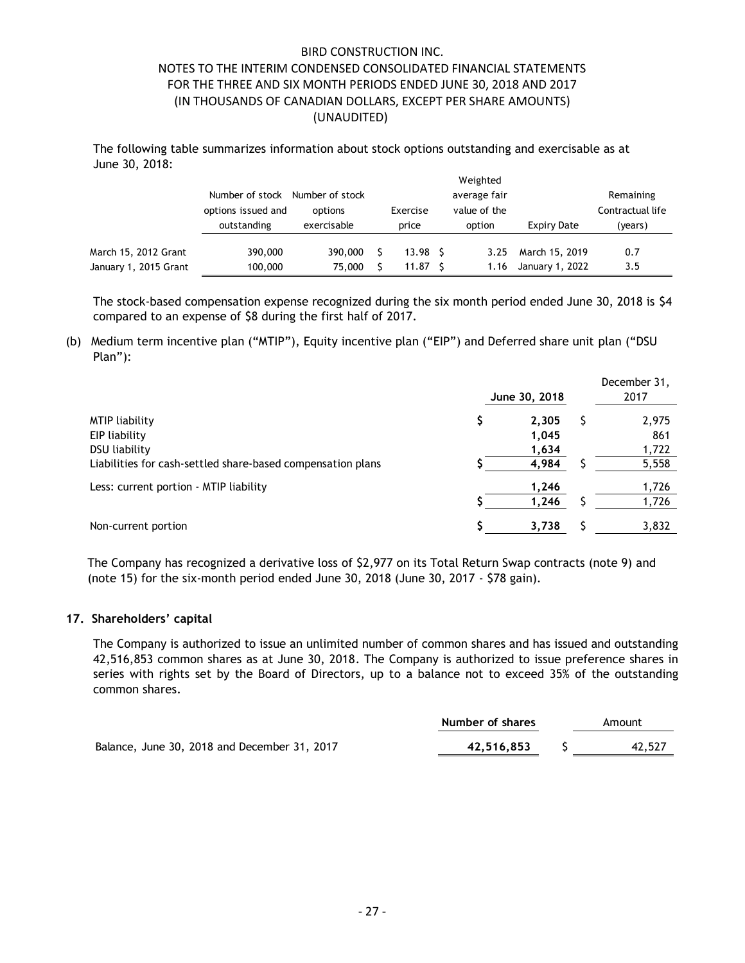The following table summarizes information about stock options outstanding and exercisable as at June 30, 2018:

|                       | Number of stock Number of stock<br>options issued and<br>outstanding | options<br>exercisable | Exercise<br>price |                    |  | Weighted<br>average fair<br>value of the<br>option | Expiry Date     | Remaining<br>Contractual life<br>(years) |
|-----------------------|----------------------------------------------------------------------|------------------------|-------------------|--------------------|--|----------------------------------------------------|-----------------|------------------------------------------|
| March 15, 2012 Grant  | 390,000                                                              | 390,000                |                   | 13.98 <sup>5</sup> |  | 3.25                                               | March 15, 2019  | 0.7                                      |
| January 1, 2015 Grant | 100,000                                                              | 75,000                 |                   | 11.87              |  | 1.16                                               | January 1, 2022 | 3.5                                      |

The stock-based compensation expense recognized during the six month period ended June 30, 2018 is \$4 compared to an expense of \$8 during the first half of 2017.

(b) Medium term incentive plan ("MTIP"), Equity incentive plan ("EIP") and Deferred share unit plan ("DSU Plan"):

|                                                             |               | December 31, |
|-------------------------------------------------------------|---------------|--------------|
|                                                             | June 30, 2018 | 2017         |
| <b>MTIP liability</b>                                       | 2.305         | 2,975        |
| EIP liability                                               | 1,045         | 861          |
| DSU liability                                               | 1,634         | 1,722        |
| Liabilities for cash-settled share-based compensation plans | 4,984         | 5,558        |
| Less: current portion - MTIP liability                      | 1,246         | 1,726        |
|                                                             | 1,246         | 1,726        |
| Non-current portion                                         | 3,738         | 3,832        |

The Company has recognized a derivative loss of \$2,977 on its Total Return Swap contracts (note 9) and (note 15) for the six-month period ended June 30, 2018 (June 30, 2017 - \$78 gain).

#### **17. Shareholders' capital**

The Company is authorized to issue an unlimited number of common shares and has issued and outstanding 42,516,853 common shares as at June 30, 2018. The Company is authorized to issue preference shares in series with rights set by the Board of Directors, up to a balance not to exceed 35% of the outstanding common shares.

|                                              | Number of shares | Amount |
|----------------------------------------------|------------------|--------|
| Balance, June 30, 2018 and December 31, 2017 | 42.516.853       | 42,527 |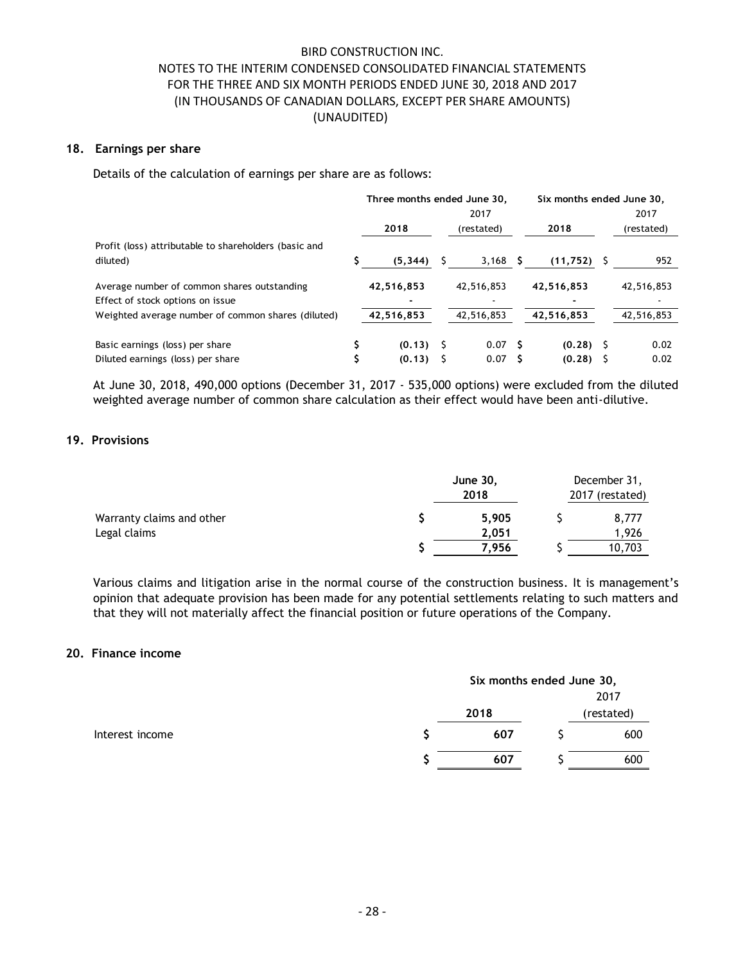### **18. Earnings per share**

Details of the calculation of earnings per share are as follows:

|                                                       | Three months ended June 30, |             |            | Six months ended June 30, |    |            |      |            |
|-------------------------------------------------------|-----------------------------|-------------|------------|---------------------------|----|------------|------|------------|
|                                                       | 2017                        |             |            |                           |    |            | 2017 |            |
|                                                       |                             | 2018        |            | (restated)                |    | 2018       |      | (restated) |
| Profit (loss) attributable to shareholders (basic and |                             |             |            |                           |    |            |      |            |
| diluted)                                              |                             | (5, 344)    |            | 3,168                     | s  | (11, 752)  |      | 952        |
| Average number of common shares outstanding           |                             | 42,516,853  |            | 42,516,853                |    | 42,516,853 |      | 42,516,853 |
| Effect of stock options on issue                      |                             |             |            |                           |    |            |      |            |
| Weighted average number of common shares (diluted)    | 42,516,853                  |             | 42,516,853 |                           |    | 42,516,853 |      | 42,516,853 |
| Basic earnings (loss) per share                       |                             | $(0.13)$ \$ |            | 0.07                      | -S | (0.28)     | s    | 0.02       |
| Diluted earnings (loss) per share                     |                             | (0.13)      |            | 0.07                      |    | (0.28)     |      | 0.02       |

At June 30, 2018, 490,000 options (December 31, 2017 - 535,000 options) were excluded from the diluted weighted average number of common share calculation as their effect would have been anti-dilutive.

### **19. Provisions**

|                           | June 30,<br>2018 | December 31,<br>2017 (restated) |  |  |
|---------------------------|------------------|---------------------------------|--|--|
| Warranty claims and other | 5.905            | 8,777                           |  |  |
| Legal claims              | 2.051            | 1.926                           |  |  |
|                           | 7.956            | 10,703                          |  |  |

Various claims and litigation arise in the normal course of the construction business. It is management's opinion that adequate provision has been made for any potential settlements relating to such matters and that they will not materially affect the financial position or future operations of the Company.

#### **20. Finance income**

|                 | Six months ended June 30, |      |  |     |
|-----------------|---------------------------|------|--|-----|
|                 |                           | 2018 |  |     |
|                 |                           |      |  |     |
| Interest income |                           | 607  |  | 600 |
|                 |                           | 607  |  | 600 |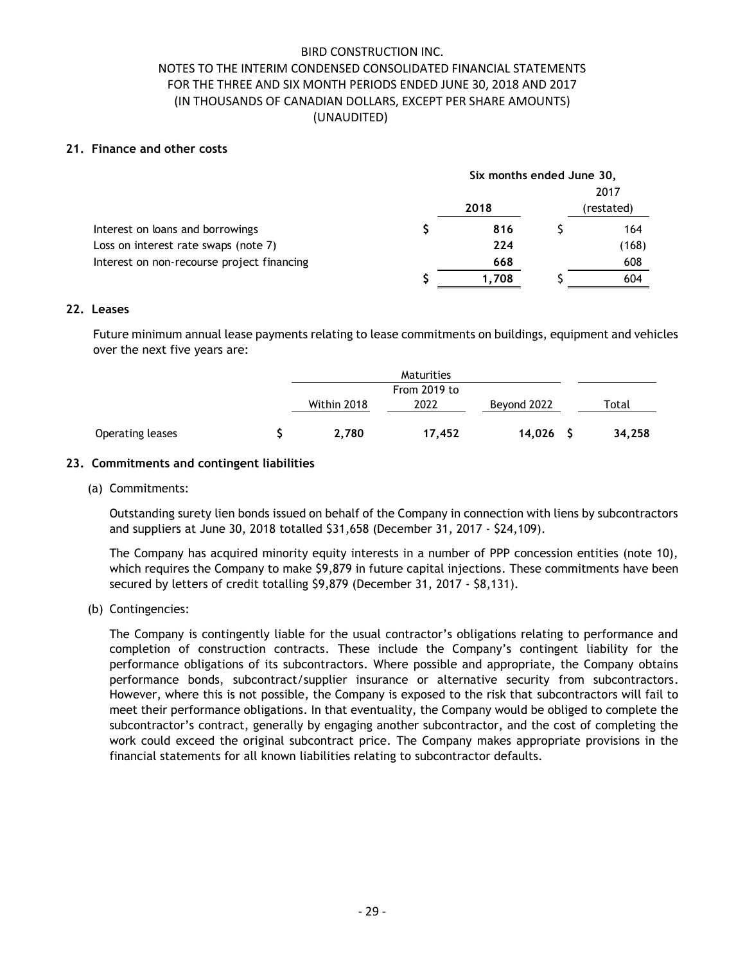### **21. Finance and other costs**

|                                            | Six months ended June 30, |       |  |            |  |
|--------------------------------------------|---------------------------|-------|--|------------|--|
|                                            |                           |       |  | 2017       |  |
|                                            |                           | 2018  |  | (restated) |  |
| Interest on loans and borrowings           |                           | 816   |  | 164        |  |
| Loss on interest rate swaps (note 7)       |                           | 224   |  | (168)      |  |
| Interest on non-recourse project financing |                           | 668   |  | 608        |  |
|                                            |                           | 1.708 |  | 604        |  |
|                                            |                           |       |  |            |  |

### **22. Leases**

Future minimum annual lease payments relating to lease commitments on buildings, equipment and vehicles over the next five years are:

|                  | Maturities   |        |             |  |        |
|------------------|--------------|--------|-------------|--|--------|
|                  | From 2019 to |        |             |  |        |
|                  | Within 2018  | 2022   | Beyond 2022 |  | Total  |
| Operating leases | 2.780        | 17,452 | 14,026      |  | 34,258 |

### **23. Commitments and contingent liabilities**

#### (a) Commitments:

Outstanding surety lien bonds issued on behalf of the Company in connection with liens by subcontractors and suppliers at June 30, 2018 totalled \$31,658 (December 31, 2017 - \$24,109).

The Company has acquired minority equity interests in a number of PPP concession entities (note 10), which requires the Company to make \$9,879 in future capital injections. These commitments have been secured by letters of credit totalling \$9,879 (December 31, 2017 - \$8,131).

(b) Contingencies:

The Company is contingently liable for the usual contractor's obligations relating to performance and completion of construction contracts. These include the Company's contingent liability for the performance obligations of its subcontractors. Where possible and appropriate, the Company obtains performance bonds, subcontract/supplier insurance or alternative security from subcontractors. However, where this is not possible, the Company is exposed to the risk that subcontractors will fail to meet their performance obligations. In that eventuality, the Company would be obliged to complete the subcontractor's contract, generally by engaging another subcontractor, and the cost of completing the work could exceed the original subcontract price. The Company makes appropriate provisions in the financial statements for all known liabilities relating to subcontractor defaults.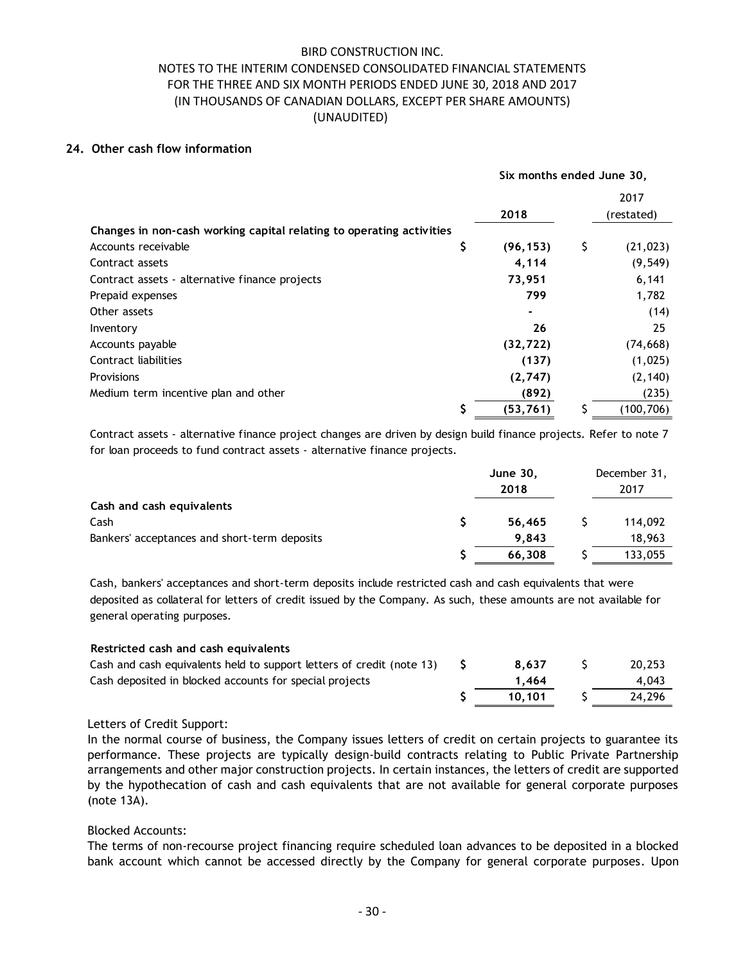### **24. Other cash flow information**

|                                                                      | Six months ended June 30, |    |            |  |  |
|----------------------------------------------------------------------|---------------------------|----|------------|--|--|
|                                                                      |                           |    | 2017       |  |  |
|                                                                      | 2018                      |    | (restated) |  |  |
| Changes in non-cash working capital relating to operating activities |                           |    |            |  |  |
| Accounts receivable                                                  | \$<br>(96, 153)           | \$ | (21, 023)  |  |  |
| Contract assets                                                      | 4,114                     |    | (9, 549)   |  |  |
| Contract assets - alternative finance projects                       | 73,951                    |    | 6,141      |  |  |
| Prepaid expenses                                                     | 799                       |    | 1,782      |  |  |
| Other assets                                                         | $\blacksquare$            |    | (14)       |  |  |
| Inventory                                                            | 26                        |    | 25         |  |  |
| Accounts payable                                                     | (32, 722)                 |    | (74, 668)  |  |  |
| Contract liabilities                                                 | (137)                     |    | (1,025)    |  |  |
| <b>Provisions</b>                                                    | (2,747)                   |    | (2, 140)   |  |  |
| Medium term incentive plan and other                                 | (892)                     |    | (235)      |  |  |
|                                                                      | \$<br>(53, 761)           |    | (100,706)  |  |  |

Contract assets - alternative finance project changes are driven by design build finance projects. Refer to note 7 for loan proceeds to fund contract assets - alternative finance projects.

|                                              | <b>June 30,</b><br>2018 | December 31,<br>2017 |
|----------------------------------------------|-------------------------|----------------------|
| Cash and cash equivalents                    |                         |                      |
| Cash                                         | 56,465                  | 114,092              |
| Bankers' acceptances and short-term deposits | 9.843                   | 18,963               |
|                                              | 66,308                  | 133,055              |

Cash, bankers' acceptances and short-term deposits include restricted cash and cash equivalents that were deposited as collateral for letters of credit issued by the Company. As such, these amounts are not available for general operating purposes.

| Restricted cash and cash equivalents                                  |        |        |
|-----------------------------------------------------------------------|--------|--------|
| Cash and cash equivalents held to support letters of credit (note 13) | 8.637  | 20,253 |
| Cash deposited in blocked accounts for special projects               | 1.464  | 4.043  |
|                                                                       | 10.101 | 24.296 |

Letters of Credit Support:

In the normal course of business, the Company issues letters of credit on certain projects to guarantee its performance. These projects are typically design-build contracts relating to Public Private Partnership arrangements and other major construction projects. In certain instances, the letters of credit are supported by the hypothecation of cash and cash equivalents that are not available for general corporate purposes (note 13A).

Blocked Accounts:

The terms of non-recourse project financing require scheduled loan advances to be deposited in a blocked bank account which cannot be accessed directly by the Company for general corporate purposes. Upon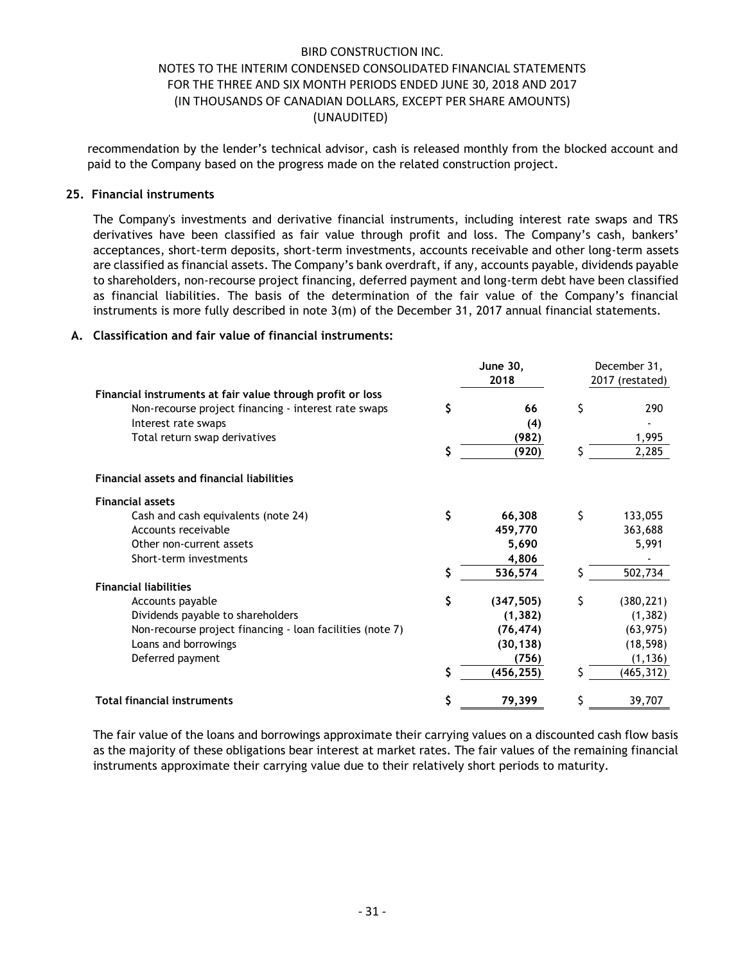recommendation by the lender's technical advisor, cash is released monthly from the blocked account and paid to the Company based on the progress made on the related construction project.

### **25. Financial instruments**

The Company's investments and derivative financial instruments, including interest rate swaps and TRS derivatives have been classified as fair value through profit and loss. The Company's cash, bankers' acceptances, short-term deposits, short-term investments, accounts receivable and other long-term assets are classified as financial assets. The Company's bank overdraft, if any, accounts payable, dividends payable to shareholders, non-recourse project financing, deferred payment and long-term debt have been classified as financial liabilities. The basis of the determination of the fair value of the Company's financial instruments is more fully described in note 3(m) of the December 31, 2017 annual financial statements.

### **A. Classification and fair value of financial instruments:**

|                                                            |    | June 30,   |    | December 31,    |
|------------------------------------------------------------|----|------------|----|-----------------|
|                                                            |    | 2018       |    | 2017 (restated) |
| Financial instruments at fair value through profit or loss |    |            |    |                 |
| Non-recourse project financing - interest rate swaps       | \$ | 66         | \$ | 290             |
| Interest rate swaps                                        |    | (4)        |    |                 |
| Total return swap derivatives                              |    | (982)      |    | 1,995           |
|                                                            | \$ | (920)      |    | 2,285           |
| <b>Financial assets and financial liabilities</b>          |    |            |    |                 |
| <b>Financial assets</b>                                    |    |            |    |                 |
| Cash and cash equivalents (note 24)                        | \$ | 66,308     | Ś  | 133,055         |
| Accounts receivable                                        |    | 459,770    |    | 363,688         |
| Other non-current assets                                   |    | 5,690      |    | 5,991           |
| Short-term investments                                     |    | 4,806      |    |                 |
|                                                            | Ś  | 536,574    |    | 502,734         |
| <b>Financial liabilities</b>                               |    |            |    |                 |
| Accounts payable                                           | \$ | (347, 505) | Ś  | (380, 221)      |
| Dividends payable to shareholders                          |    | (1, 382)   |    | (1, 382)        |
| Non-recourse project financing - loan facilities (note 7)  |    | (76, 474)  |    | (63, 975)       |
| Loans and borrowings                                       |    | (30, 138)  |    | (18, 598)       |
| Deferred payment                                           |    | (756)      |    | (1, 136)        |
|                                                            | \$ | (456, 255) |    | (465, 312)      |
| <b>Total financial instruments</b>                         | \$ | 79,399     |    | 39,707          |

The fair value of the loans and borrowings approximate their carrying values on a discounted cash flow basis as the majority of these obligations bear interest at market rates. The fair values of the remaining financial instruments approximate their carrying value due to their relatively short periods to maturity.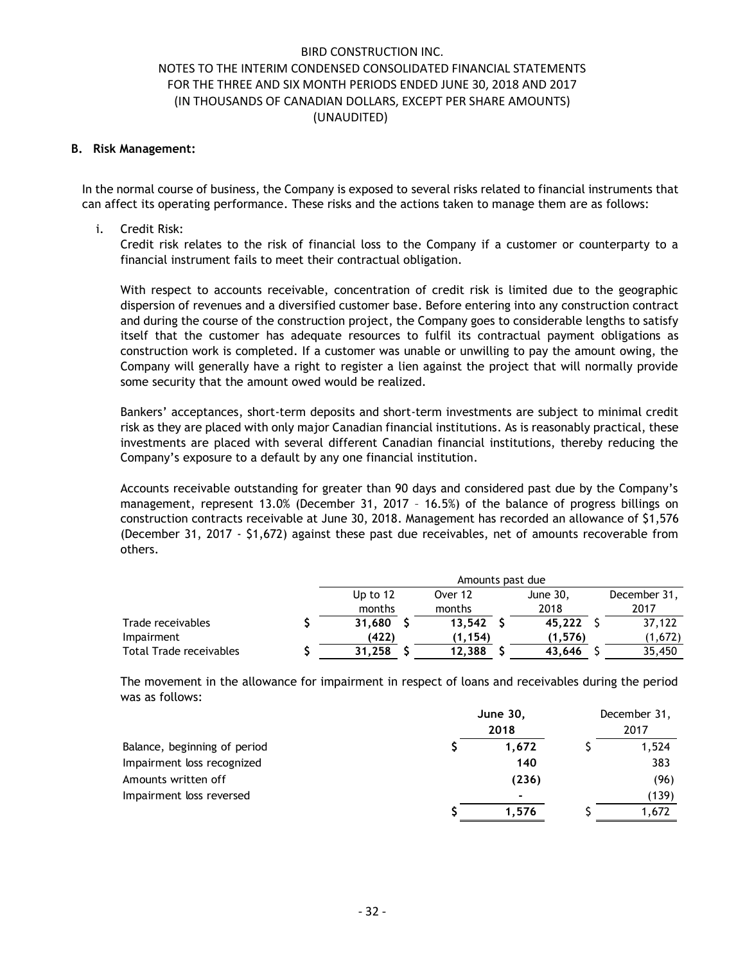#### **B. Risk Management:**

In the normal course of business, the Company is exposed to several risks related to financial instruments that can affect its operating performance. These risks and the actions taken to manage them are as follows:

### i. Credit Risk:

Credit risk relates to the risk of financial loss to the Company if a customer or counterparty to a financial instrument fails to meet their contractual obligation.

With respect to accounts receivable, concentration of credit risk is limited due to the geographic dispersion of revenues and a diversified customer base. Before entering into any construction contract and during the course of the construction project, the Company goes to considerable lengths to satisfy itself that the customer has adequate resources to fulfil its contractual payment obligations as construction work is completed. If a customer was unable or unwilling to pay the amount owing, the Company will generally have a right to register a lien against the project that will normally provide some security that the amount owed would be realized.

Bankers' acceptances, short-term deposits and short-term investments are subject to minimal credit risk as they are placed with only major Canadian financial institutions. As is reasonably practical, these investments are placed with several different Canadian financial institutions, thereby reducing the Company's exposure to a default by any one financial institution.

Accounts receivable outstanding for greater than 90 days and considered past due by the Company's management, represent 13.0% (December 31, 2017 – 16.5%) of the balance of progress billings on construction contracts receivable at June 30, 2018. Management has recorded an allowance of \$1,576 (December 31, 2017 - \$1,672) against these past due receivables, net of amounts recoverable from others.

|                         | Amounts past due |          |  |         |  |          |  |              |
|-------------------------|------------------|----------|--|---------|--|----------|--|--------------|
|                         |                  | Up to 12 |  | Over 12 |  | June 30, |  | December 31, |
|                         |                  | months   |  | months  |  | 2018     |  | 2017         |
| Trade receivables       |                  | 31.680   |  | 13.542  |  | 45.222   |  | 37.122       |
| Impairment              |                  | (422)    |  | (1.154) |  | (1.576)  |  | (1,672)      |
| Total Trade receivables |                  | 31.258   |  | 12.388  |  | 43.646   |  | 35,450       |

The movement in the allowance for impairment in respect of loans and receivables during the period was as follows:

|                              | June 30,<br>2018 |                          | December 31,<br>2017 |       |
|------------------------------|------------------|--------------------------|----------------------|-------|
|                              |                  |                          |                      |       |
| Balance, beginning of period |                  | 1.672                    |                      | 1,524 |
| Impairment loss recognized   |                  | 140                      |                      | 383   |
| Amounts written off          |                  | (236)                    |                      | (96)  |
| Impairment loss reversed     |                  | $\overline{\phantom{0}}$ |                      | (139) |
|                              |                  | 1.576                    |                      | 1,672 |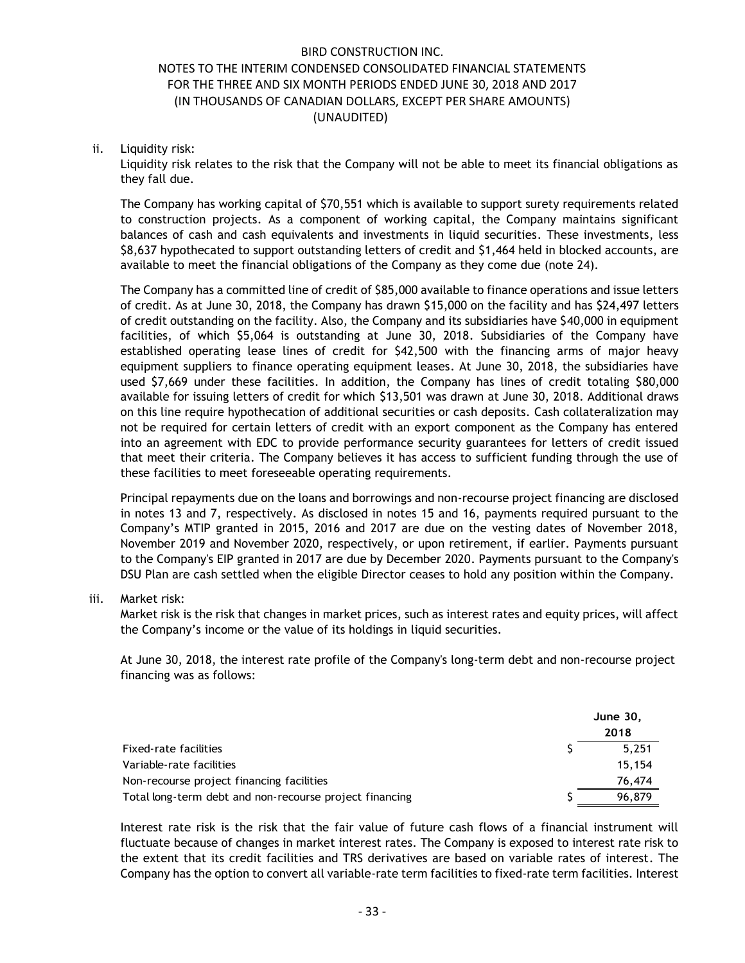### ii. Liquidity risk:

Liquidity risk relates to the risk that the Company will not be able to meet its financial obligations as they fall due.

The Company has working capital of \$70,551 which is available to support surety requirements related to construction projects. As a component of working capital, the Company maintains significant balances of cash and cash equivalents and investments in liquid securities. These investments, less \$8,637 hypothecated to support outstanding letters of credit and \$1,464 held in blocked accounts, are available to meet the financial obligations of the Company as they come due (note 24).

The Company has a committed line of credit of \$85,000 available to finance operations and issue letters of credit. As at June 30, 2018, the Company has drawn \$15,000 on the facility and has \$24,497 letters of credit outstanding on the facility. Also, the Company and its subsidiaries have \$40,000 in equipment facilities, of which \$5,064 is outstanding at June 30, 2018. Subsidiaries of the Company have established operating lease lines of credit for \$42,500 with the financing arms of major heavy equipment suppliers to finance operating equipment leases. At June 30, 2018, the subsidiaries have used \$7,669 under these facilities. In addition, the Company has lines of credit totaling \$80,000 available for issuing letters of credit for which \$13,501 was drawn at June 30, 2018. Additional draws on this line require hypothecation of additional securities or cash deposits. Cash collateralization may not be required for certain letters of credit with an export component as the Company has entered into an agreement with EDC to provide performance security guarantees for letters of credit issued that meet their criteria. The Company believes it has access to sufficient funding through the use of these facilities to meet foreseeable operating requirements.

Principal repayments due on the loans and borrowings and non-recourse project financing are disclosed in notes 13 and 7, respectively. As disclosed in notes 15 and 16, payments required pursuant to the Company's MTIP granted in 2015, 2016 and 2017 are due on the vesting dates of November 2018, November 2019 and November 2020, respectively, or upon retirement, if earlier. Payments pursuant to the Company's EIP granted in 2017 are due by December 2020. Payments pursuant to the Company's DSU Plan are cash settled when the eligible Director ceases to hold any position within the Company.

#### iii. Market risk:

Market risk is the risk that changes in market prices, such as interest rates and equity prices, will affect the Company's income or the value of its holdings in liquid securities.

At June 30, 2018, the interest rate profile of the Company's long-term debt and non-recourse project financing was as follows:

|                                                         | June 30. |  |
|---------------------------------------------------------|----------|--|
|                                                         | 2018     |  |
| Fixed-rate facilities                                   | 5.251    |  |
| Variable-rate facilities                                | 15.154   |  |
| Non-recourse project financing facilities               | 76,474   |  |
| Total long-term debt and non-recourse project financing | 96,879   |  |

Interest rate risk is the risk that the fair value of future cash flows of a financial instrument will fluctuate because of changes in market interest rates. The Company is exposed to interest rate risk to the extent that its credit facilities and TRS derivatives are based on variable rates of interest. The Company has the option to convert all variable-rate term facilities to fixed-rate term facilities. Interest